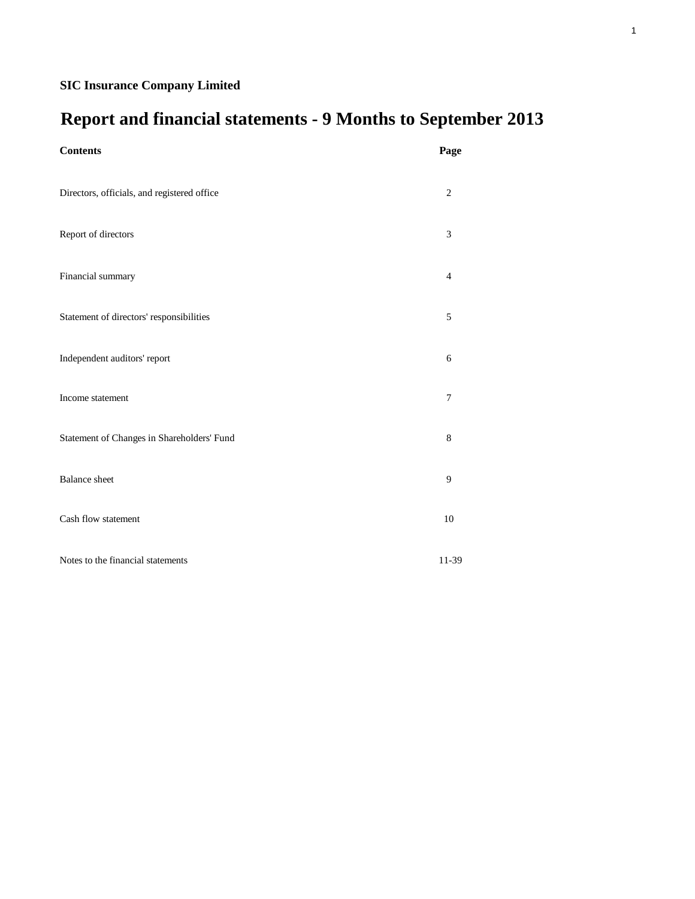# **Report and financial statements - 9 Months to September 2013**

| <b>Contents</b>                             | Page           |
|---------------------------------------------|----------------|
| Directors, officials, and registered office | $\sqrt{2}$     |
| Report of directors                         | 3              |
| Financial summary                           | $\overline{4}$ |
| Statement of directors' responsibilities    | $\sqrt{5}$     |
| Independent auditors' report                | 6              |
| Income statement                            | $\overline{7}$ |
| Statement of Changes in Shareholders' Fund  | $\,8\,$        |
| <b>Balance</b> sheet                        | $\overline{9}$ |
| Cash flow statement                         | 10             |
| Notes to the financial statements           | 11-39          |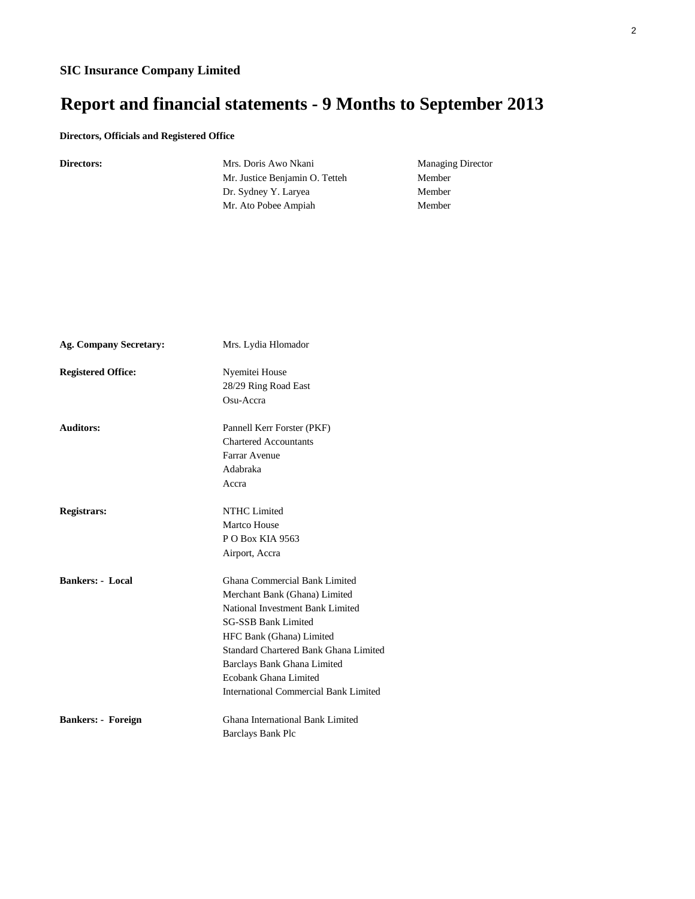# **Report and financial statements - 9 Months to September 2013**

### **Directors, Officials and Registered Office**

|  |  | <b>Directors:</b> |  |
|--|--|-------------------|--|
|--|--|-------------------|--|

Mrs. Doris Awo Nkani Managing Director Mr. Justice Benjamin O. Tetteh Member Dr. Sydney Y. Laryea Member Mr. Ato Pobee Ampiah Member

| <b>Ag. Company Secretary:</b> | Mrs. Lydia Hlomador                   |
|-------------------------------|---------------------------------------|
| <b>Registered Office:</b>     | Nyemitei House                        |
|                               | 28/29 Ring Road East                  |
|                               | Osu-Accra                             |
| <b>Auditors:</b>              | Pannell Kerr Forster (PKF)            |
|                               | <b>Chartered Accountants</b>          |
|                               | Farrar Avenue                         |
|                               | Adabraka                              |
|                               | Accra                                 |
| <b>Registrars:</b>            | <b>NTHC</b> Limited                   |
|                               | Martco House                          |
|                               | P O Box KIA 9563                      |
|                               | Airport, Accra                        |
| <b>Bankers: - Local</b>       | Ghana Commercial Bank Limited         |
|                               | Merchant Bank (Ghana) Limited         |
|                               | National Investment Bank Limited      |
|                               | <b>SG-SSB Bank Limited</b>            |
|                               | HFC Bank (Ghana) Limited              |
|                               | Standard Chartered Bank Ghana Limited |
|                               | Barclays Bank Ghana Limited           |
|                               | Ecobank Ghana Limited                 |
|                               | International Commercial Bank Limited |
| <b>Bankers: - Foreign</b>     | Ghana International Bank Limited      |
|                               | <b>Barclays Bank Plc</b>              |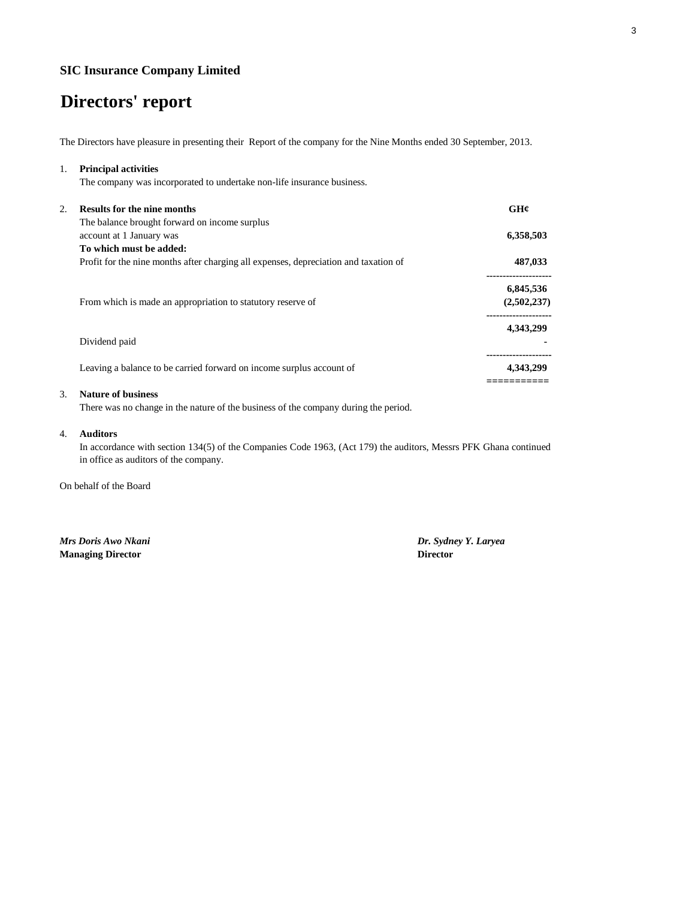# **Directors' report**

The Directors have pleasure in presenting their Report of the company for the Nine Months ended 30 September, 2013.

| 1. | <b>Principal activities</b>                                                          |             |
|----|--------------------------------------------------------------------------------------|-------------|
|    | The company was incorporated to undertake non-life insurance business.               |             |
| 2. | <b>Results for the nine months</b>                                                   | GH¢         |
|    | The balance brought forward on income surplus                                        |             |
|    | account at 1 January was                                                             | 6,358,503   |
|    | To which must be added:                                                              |             |
|    | Profit for the nine months after charging all expenses, depreciation and taxation of | 487,033     |
|    |                                                                                      | 6,845,536   |
|    | From which is made an appropriation to statutory reserve of                          | (2,502,237) |
|    |                                                                                      | 4,343,299   |
|    | Dividend paid                                                                        |             |
|    | Leaving a balance to be carried forward on income surplus account of                 | 4,343,299   |
|    |                                                                                      |             |

### 3. **Nature of business**

There was no change in the nature of the business of the company during the period.

#### 4. **Auditors**

In accordance with section 134(5) of the Companies Code 1963, (Act 179) the auditors, Messrs PFK Ghana continued in office as auditors of the company.

On behalf of the Board

**Managing Director Director**

*Mrs Doris Awo Nkani Dr. Sydney Y. Laryea*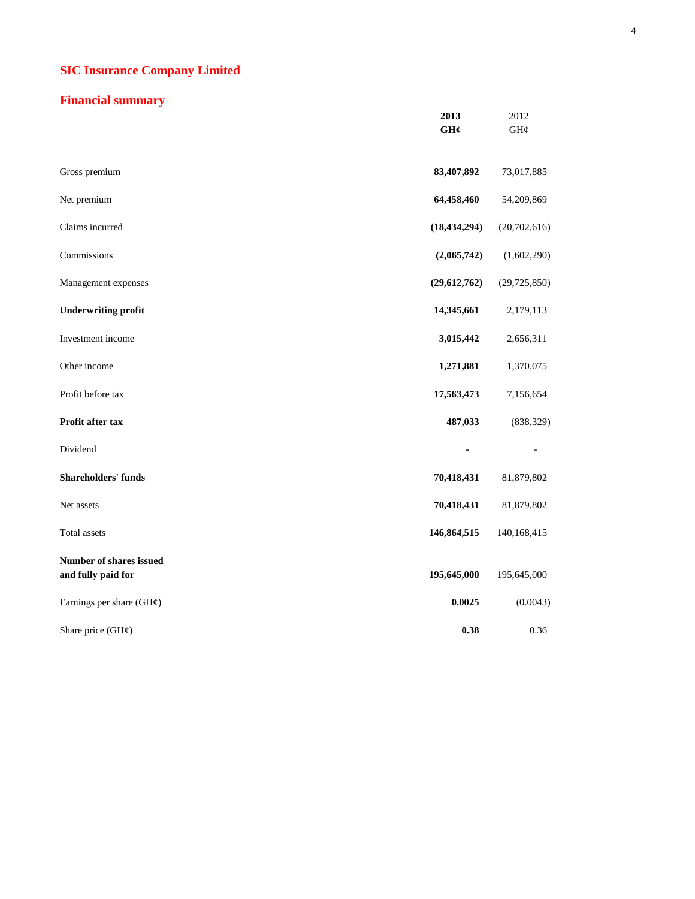### **Financial summary**

|                                               | 2013<br>GH¢    | 2012<br>GH¢    |
|-----------------------------------------------|----------------|----------------|
| Gross premium                                 | 83,407,892     | 73,017,885     |
| Net premium                                   | 64,458,460     | 54,209,869     |
| Claims incurred                               | (18, 434, 294) | (20,702,616)   |
| Commissions                                   | (2,065,742)    | (1,602,290)    |
| Management expenses                           | (29, 612, 762) | (29, 725, 850) |
| <b>Underwriting profit</b>                    | 14,345,661     | 2,179,113      |
| Investment income                             | 3,015,442      | 2,656,311      |
| Other income                                  | 1,271,881      | 1,370,075      |
| Profit before tax                             | 17,563,473     | 7,156,654      |
| Profit after tax                              | 487,033        | (838, 329)     |
| Dividend                                      |                |                |
| <b>Shareholders' funds</b>                    | 70,418,431     | 81,879,802     |
| Net assets                                    | 70,418,431     | 81,879,802     |
| Total assets                                  | 146,864,515    | 140,168,415    |
| Number of shares issued<br>and fully paid for | 195,645,000    | 195,645,000    |
| Earnings per share $(GH\varphi)$              | 0.0025         | (0.0043)       |
| Share price (GH¢)                             | 0.38           | 0.36           |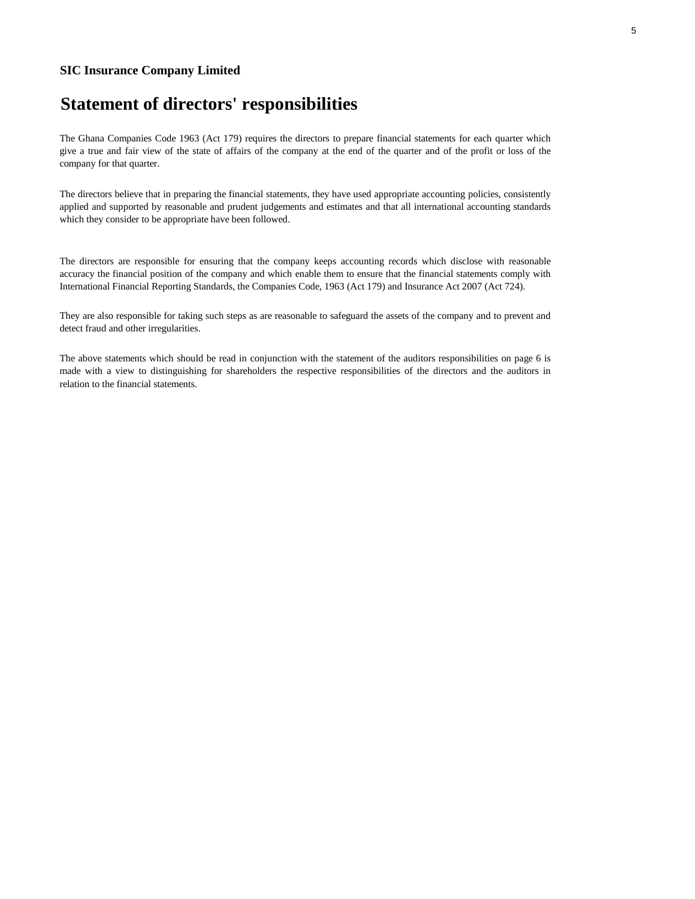# **Statement of directors' responsibilities**

The Ghana Companies Code 1963 (Act 179) requires the directors to prepare financial statements for each quarter which give a true and fair view of the state of affairs of the company at the end of the quarter and of the profit or loss of the company for that quarter.

The directors believe that in preparing the financial statements, they have used appropriate accounting policies, consistently applied and supported by reasonable and prudent judgements and estimates and that all international accounting standards which they consider to be appropriate have been followed.

The directors are responsible for ensuring that the company keeps accounting records which disclose with reasonable accuracy the financial position of the company and which enable them to ensure that the financial statements comply with International Financial Reporting Standards, the Companies Code, 1963 (Act 179) and Insurance Act 2007 (Act 724).

They are also responsible for taking such steps as are reasonable to safeguard the assets of the company and to prevent and detect fraud and other irregularities.

The above statements which should be read in conjunction with the statement of the auditors responsibilities on page 6 is made with a view to distinguishing for shareholders the respective responsibilities of the directors and the auditors in relation to the financial statements.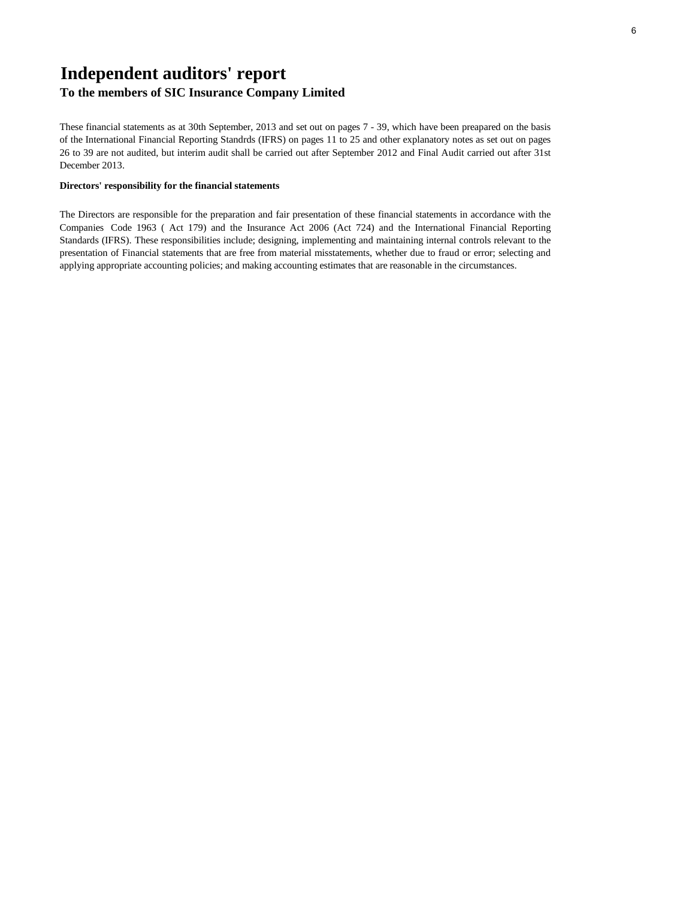# **Independent auditors' report**

### **To the members of SIC Insurance Company Limited**

These financial statements as at 30th September, 2013 and set out on pages 7 - 39, which have been preapared on the basis of the International Financial Reporting Standrds (IFRS) on pages 11 to 25 and other explanatory notes as set out on pages 26 to 39 are not audited, but interim audit shall be carried out after September 2012 and Final Audit carried out after 31st December 2013.

### **Directors' responsibility for the financial statements**

The Directors are responsible for the preparation and fair presentation of these financial statements in accordance with the Companies Code 1963 ( Act 179) and the Insurance Act 2006 (Act 724) and the International Financial Reporting Standards (IFRS). These responsibilities include; designing, implementing and maintaining internal controls relevant to the presentation of Financial statements that are free from material misstatements, whether due to fraud or error; selecting and applying appropriate accounting policies; and making accounting estimates that are reasonable in the circumstances.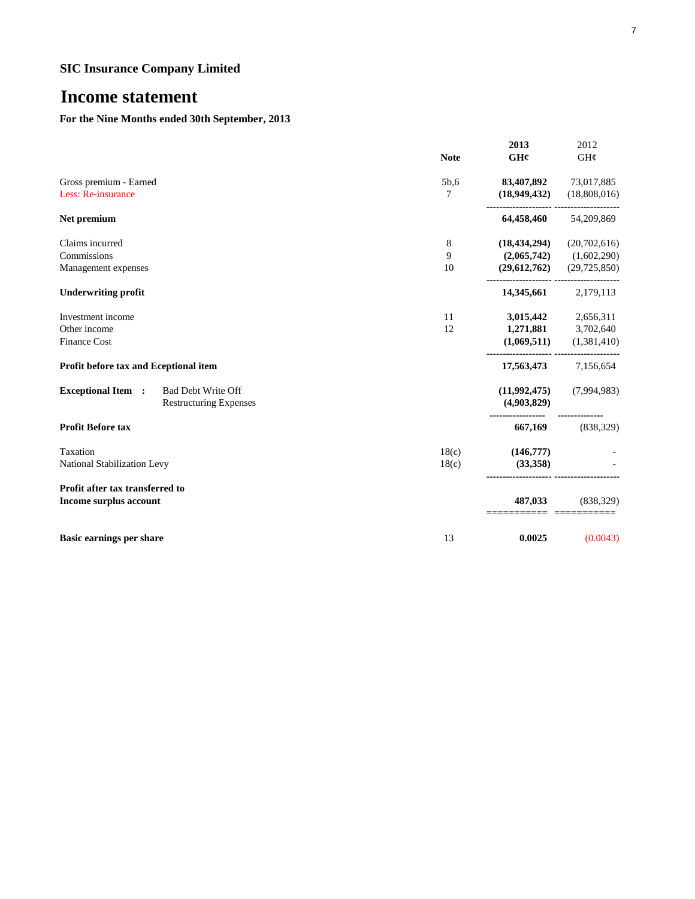## **Income statement**

### **For the Nine Months ended 30th September, 2013**

|                                                        |                 | 2013           | 2012           |
|--------------------------------------------------------|-----------------|----------------|----------------|
|                                                        | <b>Note</b>     | GH¢            | GH¢            |
| Gross premium - Earned                                 | 5b,6            | 83,407,892     | 73,017,885     |
| Less: Re-insurance                                     | 7               | (18,949,432)   | (18,808,016)   |
| Net premium                                            |                 | 64,458,460     | 54,209,869     |
| Claims incurred                                        | $8\phantom{.0}$ | (18, 434, 294) | (20,702,616)   |
| Commissions                                            | 9               | (2,065,742)    | (1,602,290)    |
| Management expenses                                    | 10              | (29,612,762)   | (29, 725, 850) |
| <b>Underwriting profit</b>                             |                 | 14,345,661     | 2,179,113      |
| Investment income                                      | 11              | 3,015,442      | 2,656,311      |
| Other income                                           | 12              | 1,271,881      | 3,702,640      |
| <b>Finance Cost</b>                                    |                 | (1,069,511)    | (1,381,410)    |
| Profit before tax and Eceptional item                  |                 | 17,563,473     | 7,156,654      |
| <b>Exceptional Item :</b><br><b>Bad Debt Write Off</b> |                 | (11,992,475)   | (7,994,983)    |
| <b>Restructuring Expenses</b>                          |                 | (4,903,829)    |                |
| <b>Profit Before tax</b>                               |                 | 667,169        | (838, 329)     |
| Taxation                                               | 18(c)           | (146,777)      |                |
| National Stabilization Levy                            | 18(c)           | (33,358)       |                |
| Profit after tax transferred to                        |                 |                |                |
| Income surplus account                                 |                 | 487,033        | (838, 329)     |
| <b>Basic earnings per share</b>                        | 13              | 0.0025         | (0.0043)       |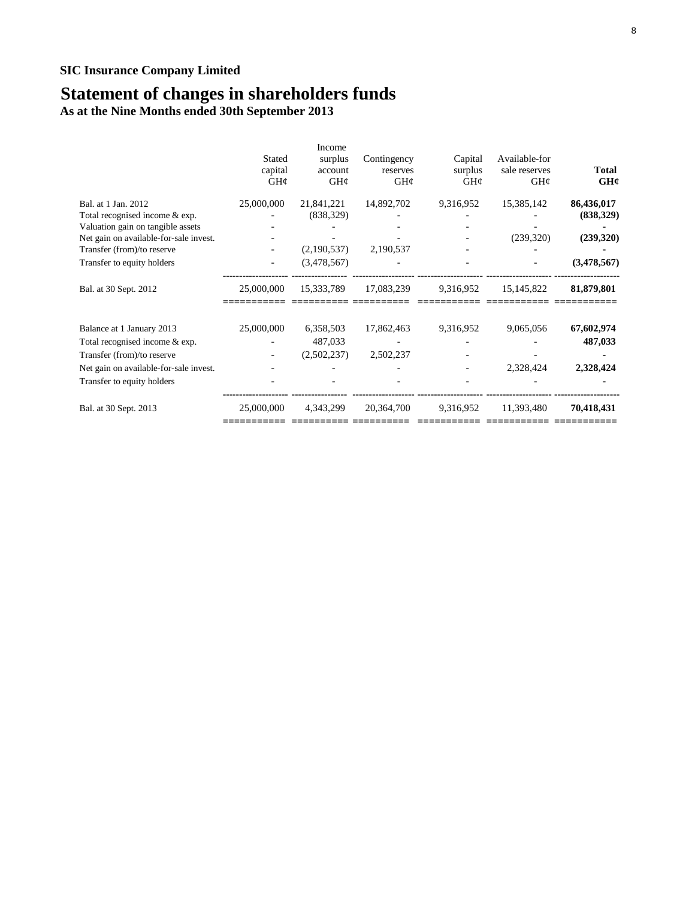## **Statement of changes in shareholders funds**

**As at the Nine Months ended 30th September 2013**

|                                        | Stated<br>capital<br>GH¢ | <b>Income</b><br>surplus<br>account<br>GH¢ | Contingency<br>reserves<br>GH¢ | Capital<br>surplus<br>GH¢ | Available-for<br>sale reserves<br>$GH\mathcal{C}$ | <b>Total</b><br>GH¢ |
|----------------------------------------|--------------------------|--------------------------------------------|--------------------------------|---------------------------|---------------------------------------------------|---------------------|
| Bal. at 1 Jan. 2012                    | 25,000,000               | 21,841,221                                 | 14,892,702                     | 9,316,952                 | 15,385,142                                        | 86,436,017          |
| Total recognised income & exp.         |                          | (838, 329)                                 |                                |                           |                                                   | (838, 329)          |
| Valuation gain on tangible assets      |                          |                                            |                                |                           |                                                   |                     |
| Net gain on available-for-sale invest. |                          |                                            |                                |                           | (239,320)                                         | (239, 320)          |
| Transfer (from)/to reserve             |                          | (2,190,537)                                | 2,190,537                      |                           |                                                   |                     |
| Transfer to equity holders             |                          | (3,478,567)                                |                                |                           |                                                   | (3,478,567)         |
| Bal. at 30 Sept. 2012                  | 25,000,000               | 15,333,789                                 | 17,083,239                     | 9,316,952                 | 15, 145, 822                                      | 81,879,801          |
| Balance at 1 January 2013              | 25,000,000               | 6,358,503                                  | 17,862,463                     | 9,316,952                 | 9,065,056                                         | 67,602,974          |
| Total recognised income & exp.         |                          | 487,033                                    |                                |                           |                                                   | 487,033             |
| Transfer (from)/to reserve             |                          | (2,502,237)                                | 2,502,237                      |                           |                                                   |                     |
| Net gain on available-for-sale invest. |                          |                                            |                                |                           | 2,328,424                                         | 2,328,424           |
| Transfer to equity holders             |                          |                                            |                                |                           |                                                   |                     |
| Bal. at 30 Sept. 2013                  | 25,000,000               | 4,343,299                                  | 20,364,700                     | 9,316,952                 | 11,393,480                                        | 70,418,431          |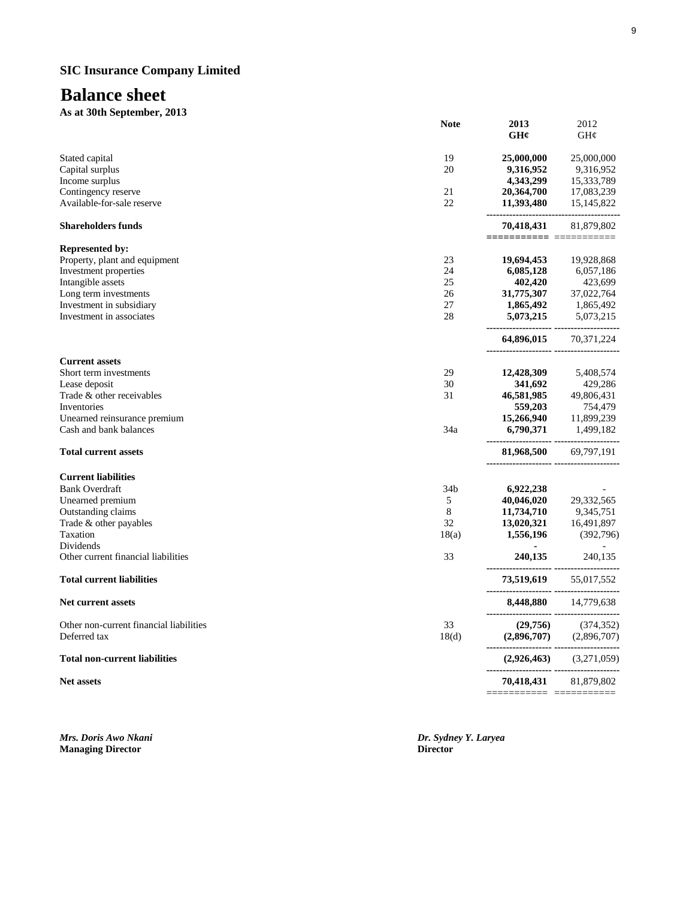## **Balance sheet**

**As at 30th September, 2013**

|                                                      | <b>Note</b>     | 2013<br>GH¢                                         | 2012<br>GH¢             |
|------------------------------------------------------|-----------------|-----------------------------------------------------|-------------------------|
| Stated capital                                       | 19              | 25,000,000                                          | 25,000,000              |
| Capital surplus                                      | 20              | 9,316,952                                           | 9,316,952               |
| Income surplus                                       |                 | 4,343,299                                           | 15,333,789              |
| Contingency reserve                                  | 21              | 20,364,700                                          | 17,083,239              |
| Available-for-sale reserve                           | 22              | 11,393,480<br>------------------------------------- | 15, 145, 822            |
| <b>Shareholders funds</b>                            |                 | 70,418,431<br>===============                       | 81,879,802              |
| <b>Represented by:</b>                               |                 |                                                     |                         |
| Property, plant and equipment                        | 23              | 19,694,453                                          | 19,928,868              |
| Investment properties                                | 24              | 6,085,128                                           | 6,057,186               |
| Intangible assets                                    | 25              | 402,420                                             | 423,699                 |
| Long term investments                                | 26<br>27        | 31,775,307                                          | 37,022,764              |
| Investment in subsidiary<br>Investment in associates | 28              | 1,865,492<br>5,073,215                              | 1,865,492<br>5,073,215  |
|                                                      |                 |                                                     |                         |
|                                                      |                 | 64,896,015                                          | 70,371,224              |
| <b>Current assets</b>                                |                 |                                                     |                         |
| Short term investments                               | 29<br>30        | 12,428,309                                          | 5,408,574               |
| Lease deposit<br>Trade & other receivables           | 31              | 341,692                                             | 429,286<br>49,806,431   |
| Inventories                                          |                 | 46,581,985<br>559,203                               | 754,479                 |
| Unearned reinsurance premium                         |                 | 15,266,940                                          | 11,899,239              |
| Cash and bank balances                               | 34a             | 6,790,371                                           | 1,499,182               |
| <b>Total current assets</b>                          |                 | 81,968,500                                          | 69,797,191              |
|                                                      |                 | -------------------- ----------                     |                         |
| <b>Current liabilities</b>                           |                 |                                                     |                         |
| <b>Bank Overdraft</b>                                | 34 <sub>b</sub> | 6,922,238                                           |                         |
| Unearned premium                                     | 5               | 40,046,020                                          | 29,332,565              |
| Outstanding claims                                   | 8               | 11,734,710                                          | 9,345,751               |
| Trade & other payables<br>Taxation                   | 32<br>18(a)     | 13,020,321<br>1,556,196                             | 16,491,897<br>(392,796) |
| Dividends                                            |                 |                                                     |                         |
| Other current financial liabilities                  | 33              | 240,135                                             | 240,135                 |
| <b>Total current liabilities</b>                     |                 | 73,519,619                                          | 55,017,552              |
| <b>Net current assets</b>                            |                 | 8,448,880                                           | 14,779,638              |
| Other non-current financial liabilities              | 33              | (29,756)                                            | (374, 352)              |
| Deferred tax                                         | 18 <sub>d</sub> | (2,896,707)                                         | (2,896,707)             |
| <b>Total non-current liabilities</b>                 |                 | (2,926,463)                                         | (3,271,059)             |
| <b>Net assets</b>                                    |                 | 70,418,431                                          | 81,879,802              |
|                                                      |                 |                                                     |                         |

**Managing Director** 

*Mrs. Doris Awo Nkani Dr. Sydney Y. Laryea*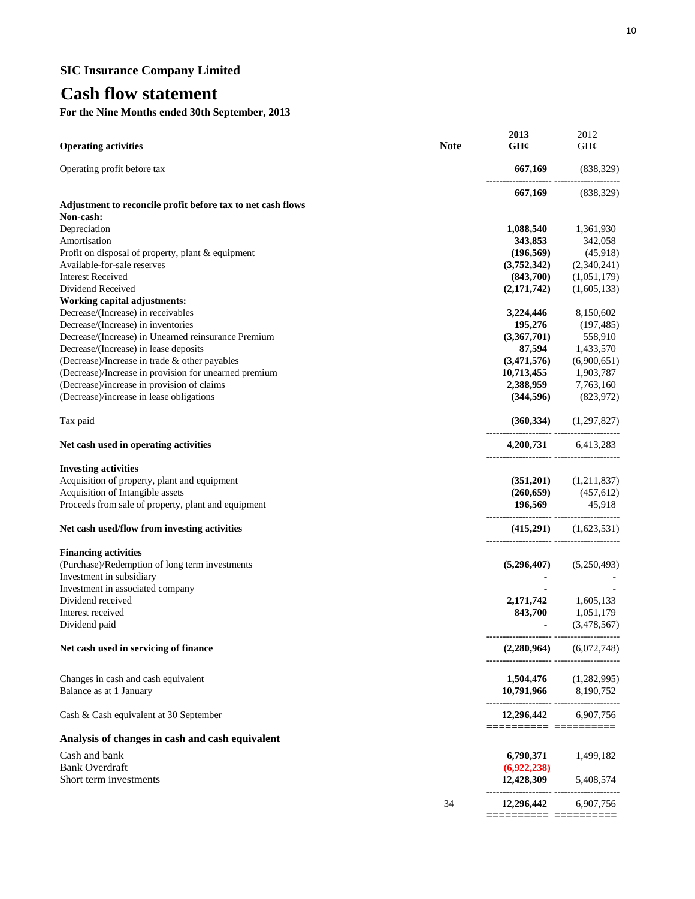## **Cash flow statement**

**For the Nine Months ended 30th September, 2013**

| <b>Operating activities</b>                                 | <b>Note</b> | 2013<br>GH¢                               | 2012<br>GH¢                                                                          |
|-------------------------------------------------------------|-------------|-------------------------------------------|--------------------------------------------------------------------------------------|
| Operating profit before tax                                 |             |                                           | 667,169 (838,329)                                                                    |
|                                                             |             |                                           | 667,169 (838,329)                                                                    |
| Adjustment to reconcile profit before tax to net cash flows |             |                                           |                                                                                      |
| Non-cash:                                                   |             |                                           |                                                                                      |
| Depreciation                                                |             | 1,088,540                                 | 1,361,930                                                                            |
| Amortisation                                                |             | 343,853                                   | 342,058                                                                              |
| Profit on disposal of property, plant & equipment           |             | (196, 569)                                | (45,918)                                                                             |
| Available-for-sale reserves                                 |             | (3,752,342)                               | (2,340,241)                                                                          |
| <b>Interest Received</b>                                    |             | (843,700)                                 | (1,051,179)                                                                          |
| Dividend Received                                           |             | (2,171,742)                               | (1,605,133)                                                                          |
| Working capital adjustments:                                |             |                                           |                                                                                      |
| Decrease/(Increase) in receivables                          |             | 3,224,446                                 | 8,150,602                                                                            |
| Decrease/(Increase) in inventories                          |             |                                           | 195,276 (197,485)                                                                    |
| Decrease/(Increase) in Unearned reinsurance Premium         |             | (3,367,701)                               | 558,910                                                                              |
| Decrease/(Increase) in lease deposits                       |             |                                           | 87,594 1,433,570                                                                     |
| (Decrease)/Increase in trade & other payables               |             | (3,471,576)                               | (6,900,651)                                                                          |
| (Decrease)/Increase in provision for unearned premium       |             | 10,713,455 1,903,787                      |                                                                                      |
| (Decrease)/increase in provision of claims                  |             |                                           | 2,388,959 7,763,160                                                                  |
| (Decrease)/increase in lease obligations                    |             |                                           | $(344,596)$ $(823,972)$                                                              |
| Tax paid                                                    |             |                                           | $(360,334)$ $(1,297,827)$                                                            |
| Net cash used in operating activities                       |             | -------------------- -----------------    | 4,200,731 6,413,283                                                                  |
| <b>Investing activities</b>                                 |             |                                           |                                                                                      |
| Acquisition of property, plant and equipment                |             |                                           | $(351,201)$ $(1,211,837)$                                                            |
| Acquisition of Intangible assets                            |             |                                           |                                                                                      |
| Proceeds from sale of property, plant and equipment         |             | 196,569                                   | $(260,659)$ $(457,612)$<br>45,918                                                    |
|                                                             |             |                                           |                                                                                      |
| Net cash used/flow from investing activities                |             |                                           | $(415,291)$ $(1,623,531)$                                                            |
| <b>Financing activities</b>                                 |             |                                           |                                                                                      |
| (Purchase)/Redemption of long term investments              |             |                                           | $(5,296,407)$ $(5,250,493)$                                                          |
| Investment in subsidiary                                    |             |                                           |                                                                                      |
| Investment in associated company                            |             |                                           |                                                                                      |
| Dividend received                                           |             |                                           |                                                                                      |
| Interest received                                           |             |                                           |                                                                                      |
| Dividend paid                                               |             |                                           | <b>2,171,742</b> 1,605,133<br><b>843,700</b> 1,051,179<br>(3,478,567)<br>(3,478,567) |
| Net cash used in servicing of finance                       |             | (2,280,964)                               | (6,072,748)                                                                          |
|                                                             |             |                                           |                                                                                      |
| Changes in cash and cash equivalent                         |             |                                           | $1,504,476$ $(1,282,995)$                                                            |
| Balance as at 1 January                                     |             | 10,791,966 8,190,752                      |                                                                                      |
| Cash & Cash equivalent at 30 September                      |             | 12,296,442 6,907,756<br>================= |                                                                                      |
| Analysis of changes in cash and cash equivalent             |             |                                           |                                                                                      |
| Cash and bank                                               |             | 6,790,371                                 | 1,499,182                                                                            |
| <b>Bank Overdraft</b>                                       |             | (6,922,238)                               |                                                                                      |
| Short term investments                                      |             | 12,428,309                                | 5,408,574                                                                            |
|                                                             | 34          | 12,296,442                                | 6,907,756                                                                            |
|                                                             |             | ====================                      |                                                                                      |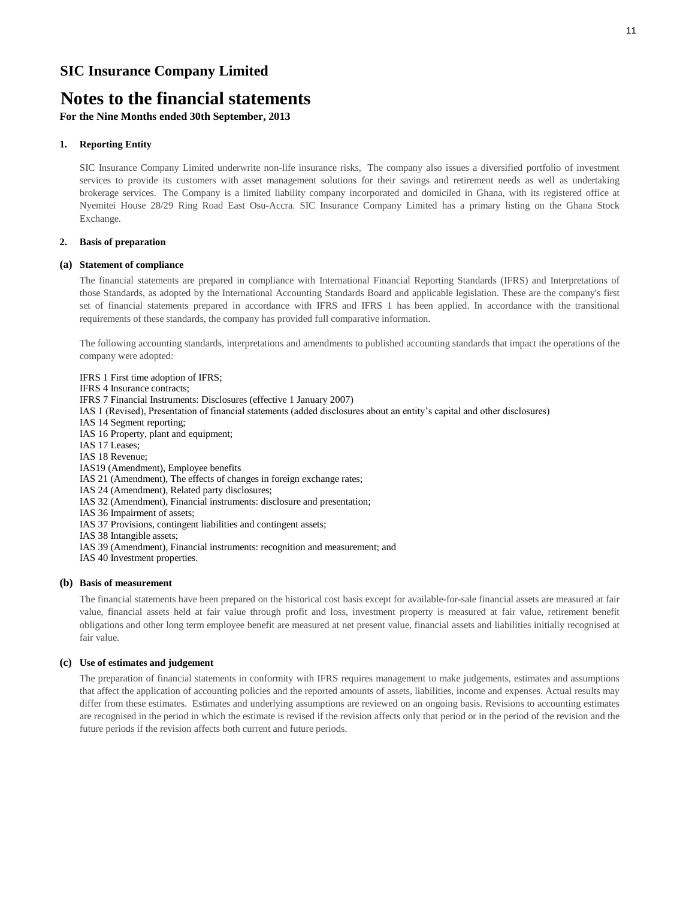## **Notes to the financial statements**

**For the Nine Months ended 30th September, 2013**

#### **1. Reporting Entity**

SIC Insurance Company Limited underwrite non-life insurance risks, The company also issues a diversified portfolio of investment services to provide its customers with asset management solutions for their savings and retirement needs as well as undertaking brokerage services. The Company is a limited liability company incorporated and domiciled in Ghana, with its registered office at Nyemitei House 28/29 Ring Road East Osu-Accra. SIC Insurance Company Limited has a primary listing on the Ghana Stock Exchange.

#### **2. Basis of preparation**

#### **(a) Statement of compliance**

The financial statements are prepared in compliance with International Financial Reporting Standards (IFRS) and Interpretations of those Standards, as adopted by the International Accounting Standards Board and applicable legislation. These are the company's first set of financial statements prepared in accordance with IFRS and IFRS 1 has been applied. In accordance with the transitional requirements of these standards, the company has provided full comparative information.

The following accounting standards, interpretations and amendments to published accounting standards that impact the operations of the company were adopted:

IFRS 1 First time adoption of IFRS; IFRS 4 Insurance contracts; IFRS 7 Financial Instruments: Disclosures (effective 1 January 2007) IAS 1 (Revised), Presentation of financial statements (added disclosures about an entity's capital and other disclosures) IAS 14 Segment reporting; IAS 16 Property, plant and equipment; IAS 17 Leases; IAS 18 Revenue; IAS19 (Amendment), Employee benefits IAS 21 (Amendment), The effects of changes in foreign exchange rates; IAS 24 (Amendment), Related party disclosures; IAS 32 (Amendment), Financial instruments: disclosure and presentation; IAS 36 Impairment of assets; IAS 37 Provisions, contingent liabilities and contingent assets; IAS 38 Intangible assets; IAS 39 (Amendment), Financial instruments: recognition and measurement; and IAS 40 Investment properties.

#### **(b) Basis of measurement**

The financial statements have been prepared on the historical cost basis except for available-for-sale financial assets are measured at fair value, financial assets held at fair value through profit and loss, investment property is measured at fair value, retirement benefit obligations and other long term employee benefit are measured at net present value, financial assets and liabilities initially recognised at fair value.

#### **(c) Use of estimates and judgement**

The preparation of financial statements in conformity with IFRS requires management to make judgements, estimates and assumptions that affect the application of accounting policies and the reported amounts of assets, liabilities, income and expenses. Actual results may differ from these estimates. Estimates and underlying assumptions are reviewed on an ongoing basis. Revisions to accounting estimates are recognised in the period in which the estimate is revised if the revision affects only that period or in the period of the revision and the future periods if the revision affects both current and future periods.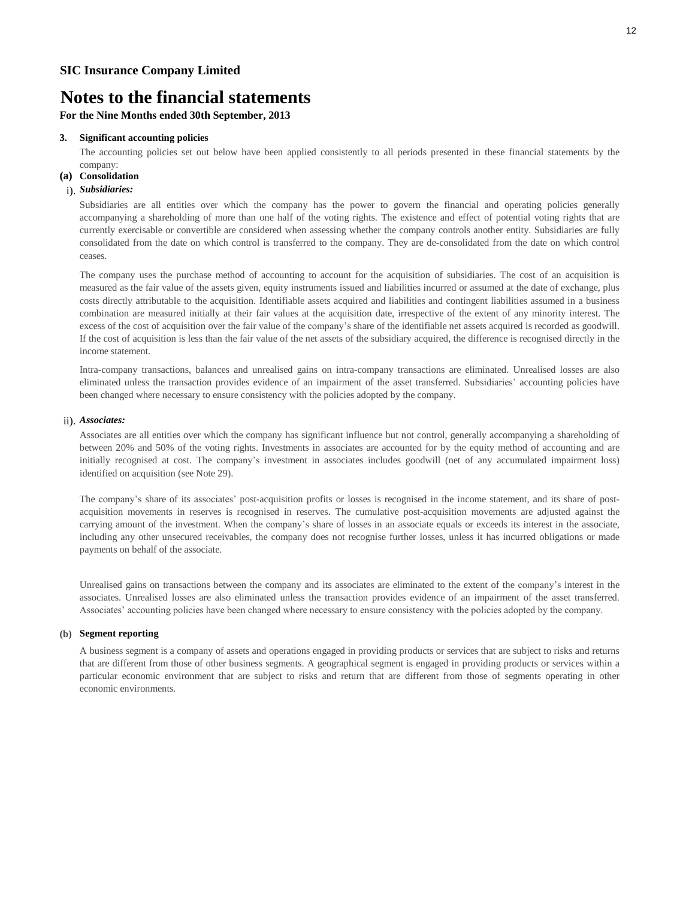**For the Nine Months ended 30th September, 2013**

#### **3. Significant accounting policies**

The accounting policies set out below have been applied consistently to all periods presented in these financial statements by the company:

#### **(a) Consolidation**

#### i). *Subsidiaries:*

Subsidiaries are all entities over which the company has the power to govern the financial and operating policies generally accompanying a shareholding of more than one half of the voting rights. The existence and effect of potential voting rights that are currently exercisable or convertible are considered when assessing whether the company controls another entity. Subsidiaries are fully consolidated from the date on which control is transferred to the company. They are de-consolidated from the date on which control ceases.

The company uses the purchase method of accounting to account for the acquisition of subsidiaries. The cost of an acquisition is measured as the fair value of the assets given, equity instruments issued and liabilities incurred or assumed at the date of exchange, plus costs directly attributable to the acquisition. Identifiable assets acquired and liabilities and contingent liabilities assumed in a business combination are measured initially at their fair values at the acquisition date, irrespective of the extent of any minority interest. The excess of the cost of acquisition over the fair value of the company's share of the identifiable net assets acquired is recorded as goodwill. If the cost of acquisition is less than the fair value of the net assets of the subsidiary acquired, the difference is recognised directly in the income statement.

Intra-company transactions, balances and unrealised gains on intra-company transactions are eliminated. Unrealised losses are also eliminated unless the transaction provides evidence of an impairment of the asset transferred. Subsidiaries' accounting policies have been changed where necessary to ensure consistency with the policies adopted by the company.

#### ii). *Associates:*

Associates are all entities over which the company has significant influence but not control, generally accompanying a shareholding of between 20% and 50% of the voting rights. Investments in associates are accounted for by the equity method of accounting and are initially recognised at cost. The company's investment in associates includes goodwill (net of any accumulated impairment loss) identified on acquisition (see Note 29).

The company's share of its associates' post-acquisition profits or losses is recognised in the income statement, and its share of postacquisition movements in reserves is recognised in reserves. The cumulative post-acquisition movements are adjusted against the carrying amount of the investment. When the company's share of losses in an associate equals or exceeds its interest in the associate, including any other unsecured receivables, the company does not recognise further losses, unless it has incurred obligations or made payments on behalf of the associate.

Unrealised gains on transactions between the company and its associates are eliminated to the extent of the company's interest in the associates. Unrealised losses are also eliminated unless the transaction provides evidence of an impairment of the asset transferred. Associates' accounting policies have been changed where necessary to ensure consistency with the policies adopted by the company.

#### **(b) Segment reporting**

A business segment is a company of assets and operations engaged in providing products or services that are subject to risks and returns that are different from those of other business segments. A geographical segment is engaged in providing products or services within a particular economic environment that are subject to risks and return that are different from those of segments operating in other economic environments.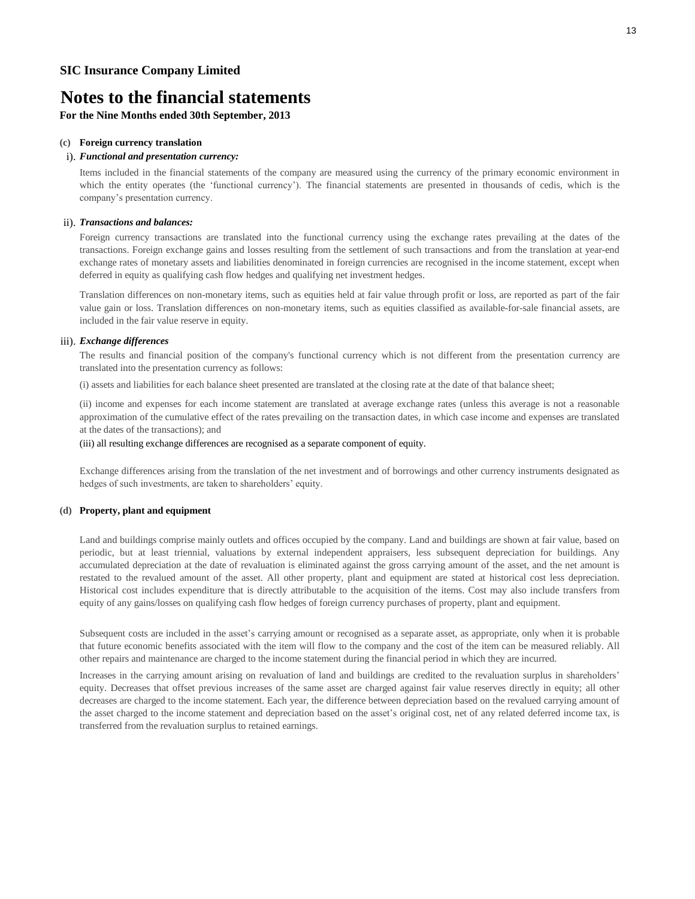**For the Nine Months ended 30th September, 2013**

#### **(c) Foreign currency translation**

#### i). *Functional and presentation currency:*

Items included in the financial statements of the company are measured using the currency of the primary economic environment in which the entity operates (the 'functional currency'). The financial statements are presented in thousands of cedis, which is the company's presentation currency.

#### ii). *Transactions and balances:*

Foreign currency transactions are translated into the functional currency using the exchange rates prevailing at the dates of the transactions. Foreign exchange gains and losses resulting from the settlement of such transactions and from the translation at year-end exchange rates of monetary assets and liabilities denominated in foreign currencies are recognised in the income statement, except when deferred in equity as qualifying cash flow hedges and qualifying net investment hedges.

Translation differences on non-monetary items, such as equities held at fair value through profit or loss, are reported as part of the fair value gain or loss. Translation differences on non-monetary items, such as equities classified as available-for-sale financial assets, are included in the fair value reserve in equity.

#### iii). *Exchange differences*

The results and financial position of the company's functional currency which is not different from the presentation currency are translated into the presentation currency as follows:

(i) assets and liabilities for each balance sheet presented are translated at the closing rate at the date of that balance sheet;

(ii) income and expenses for each income statement are translated at average exchange rates (unless this average is not a reasonable approximation of the cumulative effect of the rates prevailing on the transaction dates, in which case income and expenses are translated at the dates of the transactions); and

#### (iii) all resulting exchange differences are recognised as a separate component of equity.

Exchange differences arising from the translation of the net investment and of borrowings and other currency instruments designated as hedges of such investments, are taken to shareholders' equity.

#### **(d) Property, plant and equipment**

Land and buildings comprise mainly outlets and offices occupied by the company. Land and buildings are shown at fair value, based on periodic, but at least triennial, valuations by external independent appraisers, less subsequent depreciation for buildings. Any accumulated depreciation at the date of revaluation is eliminated against the gross carrying amount of the asset, and the net amount is restated to the revalued amount of the asset. All other property, plant and equipment are stated at historical cost less depreciation. Historical cost includes expenditure that is directly attributable to the acquisition of the items. Cost may also include transfers from equity of any gains/losses on qualifying cash flow hedges of foreign currency purchases of property, plant and equipment.

Subsequent costs are included in the asset's carrying amount or recognised as a separate asset, as appropriate, only when it is probable that future economic benefits associated with the item will flow to the company and the cost of the item can be measured reliably. All other repairs and maintenance are charged to the income statement during the financial period in which they are incurred.

Increases in the carrying amount arising on revaluation of land and buildings are credited to the revaluation surplus in shareholders' equity. Decreases that offset previous increases of the same asset are charged against fair value reserves directly in equity; all other decreases are charged to the income statement. Each year, the difference between depreciation based on the revalued carrying amount of the asset charged to the income statement and depreciation based on the asset's original cost, net of any related deferred income tax, is transferred from the revaluation surplus to retained earnings.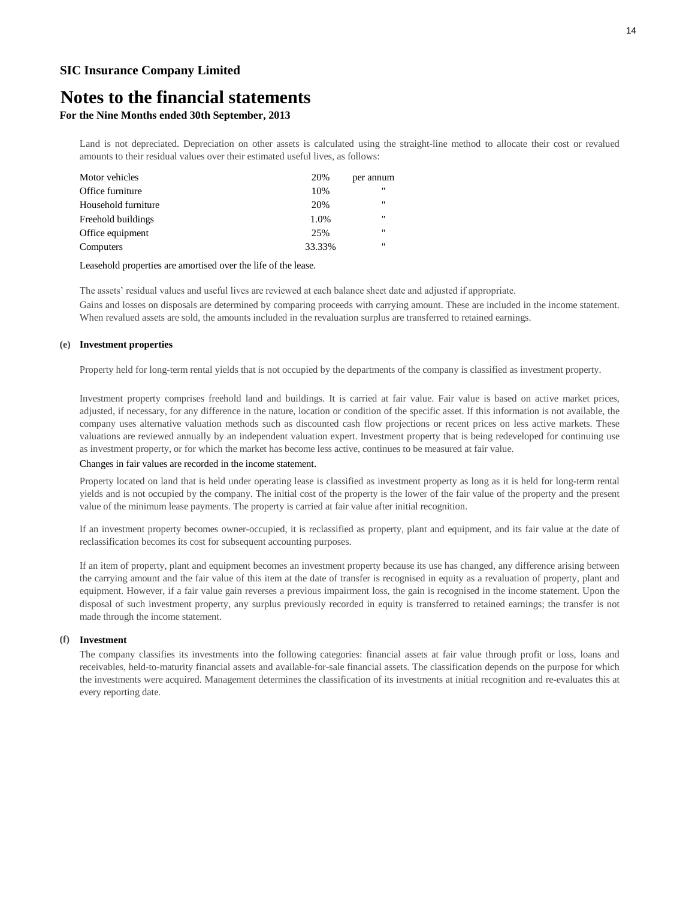## **Notes to the financial statements**

### **For the Nine Months ended 30th September, 2013**

Land is not depreciated. Depreciation on other assets is calculated using the straight-line method to allocate their cost or revalued amounts to their residual values over their estimated useful lives, as follows:

| $^{\prime\prime}$ |
|-------------------|
| $^{\prime\prime}$ |
| $^{\prime\prime}$ |
| $^{\prime\prime}$ |
| $^{\prime\prime}$ |
|                   |

#### Leasehold properties are amortised over the life of the lease.

The assets' residual values and useful lives are reviewed at each balance sheet date and adjusted if appropriate.

Gains and losses on disposals are determined by comparing proceeds with carrying amount. These are included in the income statement. When revalued assets are sold, the amounts included in the revaluation surplus are transferred to retained earnings.

#### **(e) Investment properties**

Property held for long-term rental yields that is not occupied by the departments of the company is classified as investment property.

Investment property comprises freehold land and buildings. It is carried at fair value. Fair value is based on active market prices, adjusted, if necessary, for any difference in the nature, location or condition of the specific asset. If this information is not available, the company uses alternative valuation methods such as discounted cash flow projections or recent prices on less active markets. These valuations are reviewed annually by an independent valuation expert. Investment property that is being redeveloped for continuing use as investment property, or for which the market has become less active, continues to be measured at fair value.

#### Changes in fair values are recorded in the income statement.

Property located on land that is held under operating lease is classified as investment property as long as it is held for long-term rental yields and is not occupied by the company. The initial cost of the property is the lower of the fair value of the property and the present value of the minimum lease payments. The property is carried at fair value after initial recognition.

If an investment property becomes owner-occupied, it is reclassified as property, plant and equipment, and its fair value at the date of reclassification becomes its cost for subsequent accounting purposes.

If an item of property, plant and equipment becomes an investment property because its use has changed, any difference arising between the carrying amount and the fair value of this item at the date of transfer is recognised in equity as a revaluation of property, plant and equipment. However, if a fair value gain reverses a previous impairment loss, the gain is recognised in the income statement. Upon the disposal of such investment property, any surplus previously recorded in equity is transferred to retained earnings; the transfer is not made through the income statement.

#### **(f) Investment**

The company classifies its investments into the following categories: financial assets at fair value through profit or loss, loans and receivables, held-to-maturity financial assets and available-for-sale financial assets. The classification depends on the purpose for which the investments were acquired. Management determines the classification of its investments at initial recognition and re-evaluates this at every reporting date.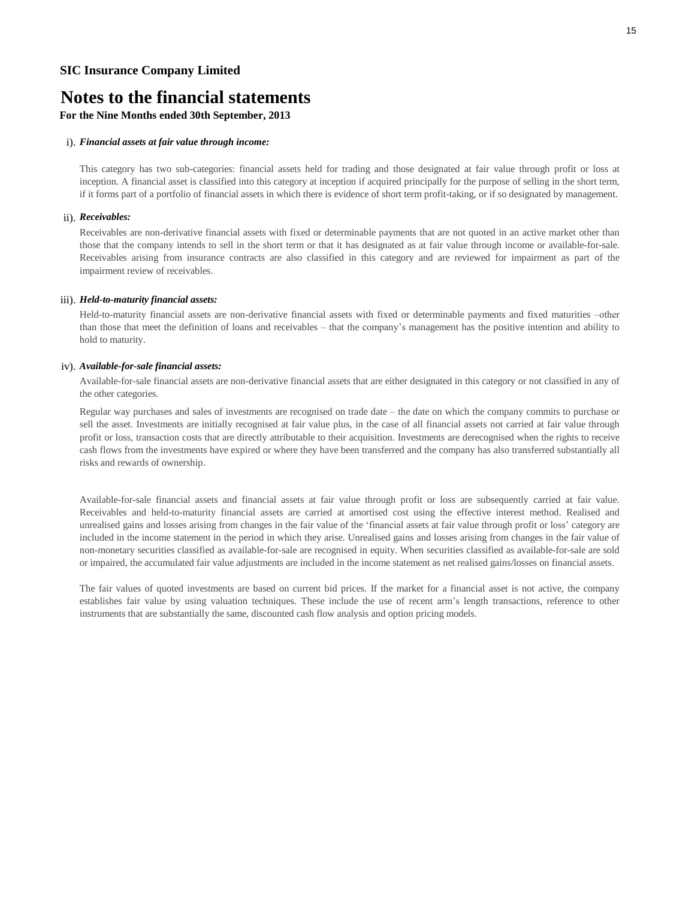## **Notes to the financial statements**

### **For the Nine Months ended 30th September, 2013**

#### i). *Financial assets at fair value through income:*

This category has two sub-categories: financial assets held for trading and those designated at fair value through profit or loss at inception. A financial asset is classified into this category at inception if acquired principally for the purpose of selling in the short term, if it forms part of a portfolio of financial assets in which there is evidence of short term profit-taking, or if so designated by management.

#### ii). *Receivables:*

Receivables are non-derivative financial assets with fixed or determinable payments that are not quoted in an active market other than those that the company intends to sell in the short term or that it has designated as at fair value through income or available-for-sale. Receivables arising from insurance contracts are also classified in this category and are reviewed for impairment as part of the impairment review of receivables.

#### iii). *Held-to-maturity financial assets:*

Held-to-maturity financial assets are non-derivative financial assets with fixed or determinable payments and fixed maturities –other than those that meet the definition of loans and receivables – that the company's management has the positive intention and ability to hold to maturity.

#### iv). *Available-for-sale financial assets:*

Available-for-sale financial assets are non-derivative financial assets that are either designated in this category or not classified in any of the other categories.

Regular way purchases and sales of investments are recognised on trade date – the date on which the company commits to purchase or sell the asset. Investments are initially recognised at fair value plus, in the case of all financial assets not carried at fair value through profit or loss, transaction costs that are directly attributable to their acquisition. Investments are derecognised when the rights to receive cash flows from the investments have expired or where they have been transferred and the company has also transferred substantially all risks and rewards of ownership.

Available-for-sale financial assets and financial assets at fair value through profit or loss are subsequently carried at fair value. Receivables and held-to-maturity financial assets are carried at amortised cost using the effective interest method. Realised and unrealised gains and losses arising from changes in the fair value of the 'financial assets at fair value through profit or loss' category are included in the income statement in the period in which they arise. Unrealised gains and losses arising from changes in the fair value of non-monetary securities classified as available-for-sale are recognised in equity. When securities classified as available-for-sale are sold or impaired, the accumulated fair value adjustments are included in the income statement as net realised gains/losses on financial assets.

The fair values of quoted investments are based on current bid prices. If the market for a financial asset is not active, the company establishes fair value by using valuation techniques. These include the use of recent arm's length transactions, reference to other instruments that are substantially the same, discounted cash flow analysis and option pricing models.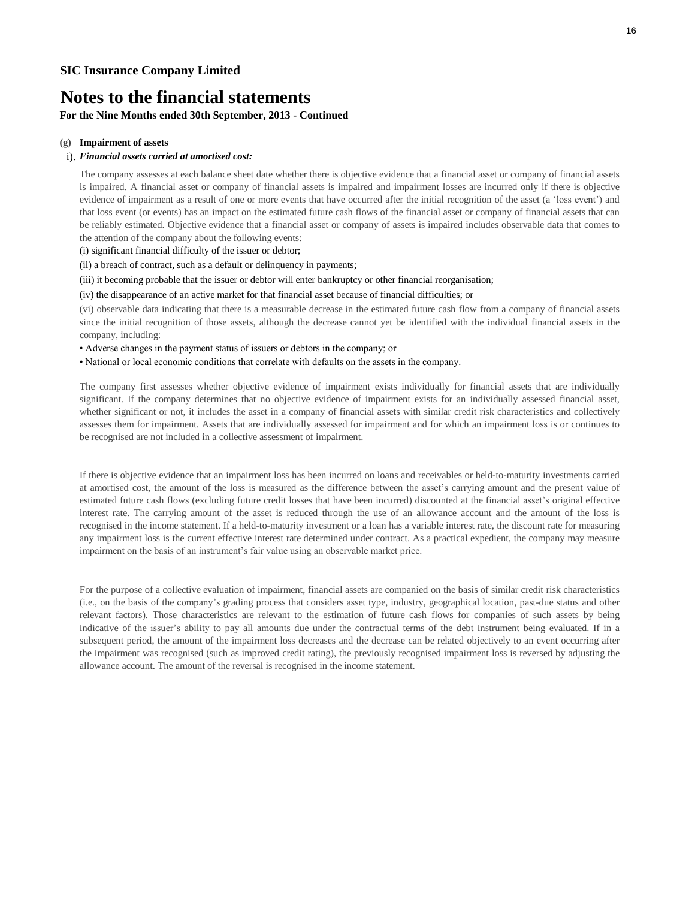### **For the Nine Months ended 30th September, 2013 - Continued**

#### **(g) Impairment of assets**

#### i). *Financial assets carried at amortised cost:*

The company assesses at each balance sheet date whether there is objective evidence that a financial asset or company of financial assets is impaired. A financial asset or company of financial assets is impaired and impairment losses are incurred only if there is objective evidence of impairment as a result of one or more events that have occurred after the initial recognition of the asset (a 'loss event') and that loss event (or events) has an impact on the estimated future cash flows of the financial asset or company of financial assets that can be reliably estimated. Objective evidence that a financial asset or company of assets is impaired includes observable data that comes to the attention of the company about the following events:

(i) significant financial difficulty of the issuer or debtor;

(ii) a breach of contract, such as a default or delinquency in payments;

(iii) it becoming probable that the issuer or debtor will enter bankruptcy or other financial reorganisation;

(iv) the disappearance of an active market for that financial asset because of financial difficulties; or

(vi) observable data indicating that there is a measurable decrease in the estimated future cash flow from a company of financial assets since the initial recognition of those assets, although the decrease cannot yet be identified with the individual financial assets in the company, including:

- Adverse changes in the payment status of issuers or debtors in the company; or
- National or local economic conditions that correlate with defaults on the assets in the company.

The company first assesses whether objective evidence of impairment exists individually for financial assets that are individually significant. If the company determines that no objective evidence of impairment exists for an individually assessed financial asset, whether significant or not, it includes the asset in a company of financial assets with similar credit risk characteristics and collectively assesses them for impairment. Assets that are individually assessed for impairment and for which an impairment loss is or continues to be recognised are not included in a collective assessment of impairment.

If there is objective evidence that an impairment loss has been incurred on loans and receivables or held-to-maturity investments carried at amortised cost, the amount of the loss is measured as the difference between the asset's carrying amount and the present value of estimated future cash flows (excluding future credit losses that have been incurred) discounted at the financial asset's original effective interest rate. The carrying amount of the asset is reduced through the use of an allowance account and the amount of the loss is recognised in the income statement. If a held-to-maturity investment or a loan has a variable interest rate, the discount rate for measuring any impairment loss is the current effective interest rate determined under contract. As a practical expedient, the company may measure impairment on the basis of an instrument's fair value using an observable market price.

For the purpose of a collective evaluation of impairment, financial assets are companied on the basis of similar credit risk characteristics (i.e., on the basis of the company's grading process that considers asset type, industry, geographical location, past-due status and other relevant factors). Those characteristics are relevant to the estimation of future cash flows for companies of such assets by being indicative of the issuer's ability to pay all amounts due under the contractual terms of the debt instrument being evaluated. If in a subsequent period, the amount of the impairment loss decreases and the decrease can be related objectively to an event occurring after the impairment was recognised (such as improved credit rating), the previously recognised impairment loss is reversed by adjusting the allowance account. The amount of the reversal is recognised in the income statement.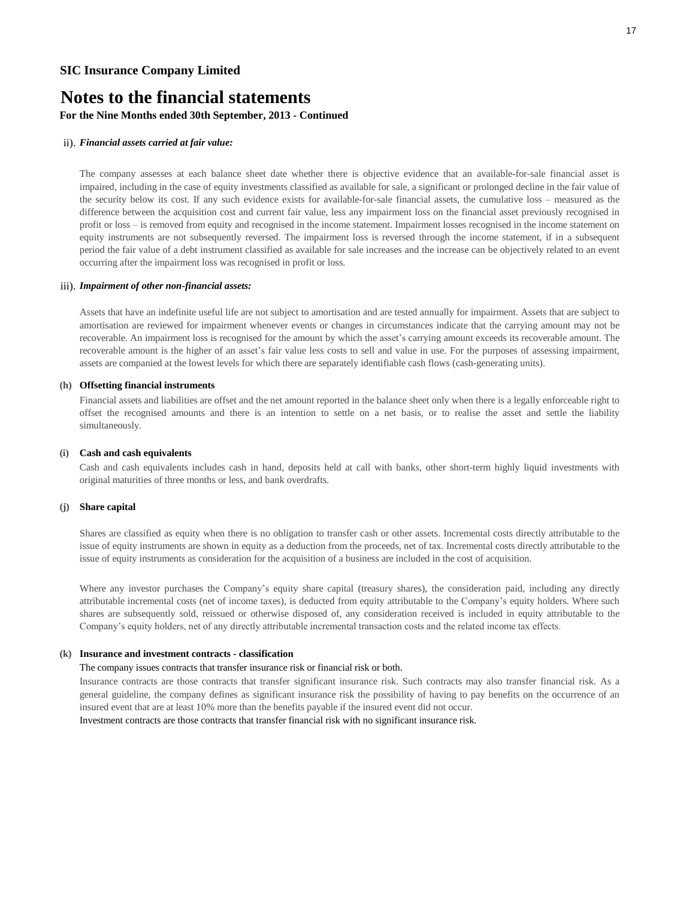### **For the Nine Months ended 30th September, 2013 - Continued**

#### ii). *Financial assets carried at fair value:*

The company assesses at each balance sheet date whether there is objective evidence that an available-for-sale financial asset is impaired, including in the case of equity investments classified as available for sale, a significant or prolonged decline in the fair value of the security below its cost. If any such evidence exists for available-for-sale financial assets, the cumulative loss – measured as the difference between the acquisition cost and current fair value, less any impairment loss on the financial asset previously recognised in profit or loss – is removed from equity and recognised in the income statement. Impairment losses recognised in the income statement on equity instruments are not subsequently reversed. The impairment loss is reversed through the income statement, if in a subsequent period the fair value of a debt instrument classified as available for sale increases and the increase can be objectively related to an event occurring after the impairment loss was recognised in profit or loss.

#### iii). *Impairment of other non-financial assets:*

Assets that have an indefinite useful life are not subject to amortisation and are tested annually for impairment. Assets that are subject to amortisation are reviewed for impairment whenever events or changes in circumstances indicate that the carrying amount may not be recoverable. An impairment loss is recognised for the amount by which the asset's carrying amount exceeds its recoverable amount. The recoverable amount is the higher of an asset's fair value less costs to sell and value in use. For the purposes of assessing impairment, assets are companied at the lowest levels for which there are separately identifiable cash flows (cash-generating units).

#### **(h) Offsetting financial instruments**

Financial assets and liabilities are offset and the net amount reported in the balance sheet only when there is a legally enforceable right to offset the recognised amounts and there is an intention to settle on a net basis, or to realise the asset and settle the liability simultaneously.

#### **(i) Cash and cash equivalents**

Cash and cash equivalents includes cash in hand, deposits held at call with banks, other short-term highly liquid investments with original maturities of three months or less, and bank overdrafts.

#### **(j) Share capital**

Shares are classified as equity when there is no obligation to transfer cash or other assets. Incremental costs directly attributable to the issue of equity instruments are shown in equity as a deduction from the proceeds, net of tax. Incremental costs directly attributable to the issue of equity instruments as consideration for the acquisition of a business are included in the cost of acquisition.

Where any investor purchases the Company's equity share capital (treasury shares), the consideration paid, including any directly attributable incremental costs (net of income taxes), is deducted from equity attributable to the Company's equity holders. Where such shares are subsequently sold, reissued or otherwise disposed of, any consideration received is included in equity attributable to the Company's equity holders, net of any directly attributable incremental transaction costs and the related income tax effects.

#### **(k) Insurance and investment contracts - classification**

#### The company issues contracts that transfer insurance risk or financial risk or both.

Insurance contracts are those contracts that transfer significant insurance risk. Such contracts may also transfer financial risk. As a general guideline, the company defines as significant insurance risk the possibility of having to pay benefits on the occurrence of an insured event that are at least 10% more than the benefits payable if the insured event did not occur.

Investment contracts are those contracts that transfer financial risk with no significant insurance risk.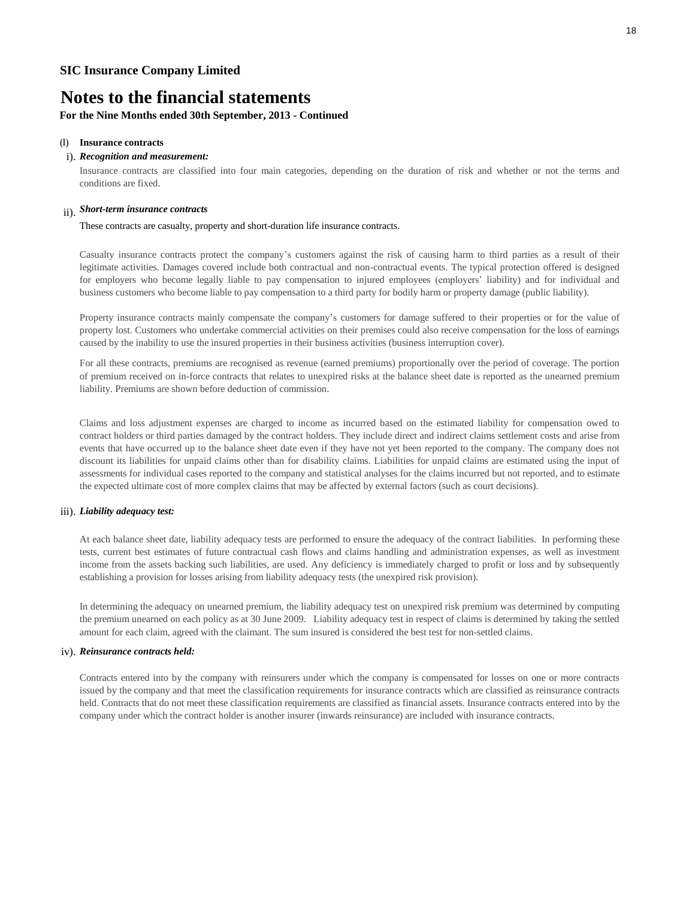### **For the Nine Months ended 30th September, 2013 - Continued**

#### **(l) Insurance contracts**

#### i). *Recognition and measurement:*

Insurance contracts are classified into four main categories, depending on the duration of risk and whether or not the terms and conditions are fixed.

### ii). *Short-term insurance contracts*

#### These contracts are casualty, property and short-duration life insurance contracts.

Casualty insurance contracts protect the company's customers against the risk of causing harm to third parties as a result of their legitimate activities. Damages covered include both contractual and non-contractual events. The typical protection offered is designed for employers who become legally liable to pay compensation to injured employees (employers' liability) and for individual and business customers who become liable to pay compensation to a third party for bodily harm or property damage (public liability).

Property insurance contracts mainly compensate the company's customers for damage suffered to their properties or for the value of property lost. Customers who undertake commercial activities on their premises could also receive compensation for the loss of earnings caused by the inability to use the insured properties in their business activities (business interruption cover).

For all these contracts, premiums are recognised as revenue (earned premiums) proportionally over the period of coverage. The portion of premium received on in-force contracts that relates to unexpired risks at the balance sheet date is reported as the unearned premium liability. Premiums are shown before deduction of commission.

Claims and loss adjustment expenses are charged to income as incurred based on the estimated liability for compensation owed to contract holders or third parties damaged by the contract holders. They include direct and indirect claims settlement costs and arise from events that have occurred up to the balance sheet date even if they have not yet been reported to the company. The company does not discount its liabilities for unpaid claims other than for disability claims. Liabilities for unpaid claims are estimated using the input of assessments for individual cases reported to the company and statistical analyses for the claims incurred but not reported, and to estimate the expected ultimate cost of more complex claims that may be affected by external factors (such as court decisions).

#### iii). *Liability adequacy test:*

At each balance sheet date, liability adequacy tests are performed to ensure the adequacy of the contract liabilities. In performing these tests, current best estimates of future contractual cash flows and claims handling and administration expenses, as well as investment income from the assets backing such liabilities, are used. Any deficiency is immediately charged to profit or loss and by subsequently establishing a provision for losses arising from liability adequacy tests (the unexpired risk provision).

In determining the adequacy on unearned premium, the liability adequacy test on unexpired risk premium was determined by computing the premium unearned on each policy as at 30 June 2009. Liability adequacy test in respect of claims is determined by taking the settled amount for each claim, agreed with the claimant. The sum insured is considered the best test for non-settled claims.

#### iv). *Reinsurance contracts held:*

Contracts entered into by the company with reinsurers under which the company is compensated for losses on one or more contracts issued by the company and that meet the classification requirements for insurance contracts which are classified as reinsurance contracts held. Contracts that do not meet these classification requirements are classified as financial assets. Insurance contracts entered into by the company under which the contract holder is another insurer (inwards reinsurance) are included with insurance contracts.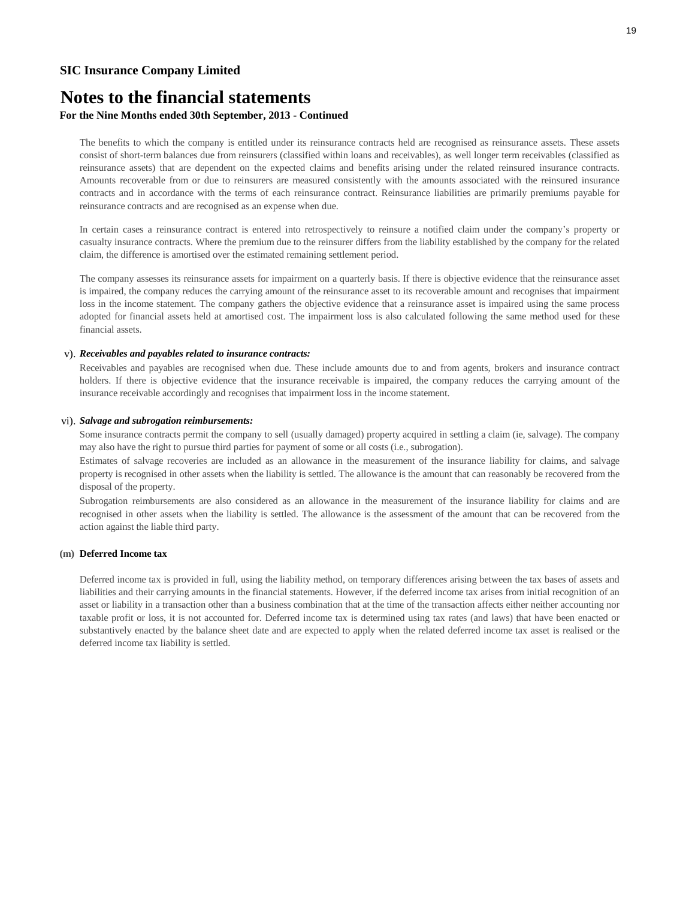## **Notes to the financial statements**

### **For the Nine Months ended 30th September, 2013 - Continued**

The benefits to which the company is entitled under its reinsurance contracts held are recognised as reinsurance assets. These assets consist of short-term balances due from reinsurers (classified within loans and receivables), as well longer term receivables (classified as reinsurance assets) that are dependent on the expected claims and benefits arising under the related reinsured insurance contracts. Amounts recoverable from or due to reinsurers are measured consistently with the amounts associated with the reinsured insurance contracts and in accordance with the terms of each reinsurance contract. Reinsurance liabilities are primarily premiums payable for reinsurance contracts and are recognised as an expense when due.

In certain cases a reinsurance contract is entered into retrospectively to reinsure a notified claim under the company's property or casualty insurance contracts. Where the premium due to the reinsurer differs from the liability established by the company for the related claim, the difference is amortised over the estimated remaining settlement period.

The company assesses its reinsurance assets for impairment on a quarterly basis. If there is objective evidence that the reinsurance asset is impaired, the company reduces the carrying amount of the reinsurance asset to its recoverable amount and recognises that impairment loss in the income statement. The company gathers the objective evidence that a reinsurance asset is impaired using the same process adopted for financial assets held at amortised cost. The impairment loss is also calculated following the same method used for these financial assets.

#### v). *Receivables and payables related to insurance contracts:*

Receivables and payables are recognised when due. These include amounts due to and from agents, brokers and insurance contract holders. If there is objective evidence that the insurance receivable is impaired, the company reduces the carrying amount of the insurance receivable accordingly and recognises that impairment loss in the income statement.

#### vi). *Salvage and subrogation reimbursements:*

Some insurance contracts permit the company to sell (usually damaged) property acquired in settling a claim (ie, salvage). The company may also have the right to pursue third parties for payment of some or all costs (i.e., subrogation).

Estimates of salvage recoveries are included as an allowance in the measurement of the insurance liability for claims, and salvage property is recognised in other assets when the liability is settled. The allowance is the amount that can reasonably be recovered from the disposal of the property.

Subrogation reimbursements are also considered as an allowance in the measurement of the insurance liability for claims and are recognised in other assets when the liability is settled. The allowance is the assessment of the amount that can be recovered from the action against the liable third party.

#### **(m) Deferred Income tax**

Deferred income tax is provided in full, using the liability method, on temporary differences arising between the tax bases of assets and liabilities and their carrying amounts in the financial statements. However, if the deferred income tax arises from initial recognition of an asset or liability in a transaction other than a business combination that at the time of the transaction affects either neither accounting nor taxable profit or loss, it is not accounted for. Deferred income tax is determined using tax rates (and laws) that have been enacted or substantively enacted by the balance sheet date and are expected to apply when the related deferred income tax asset is realised or the deferred income tax liability is settled.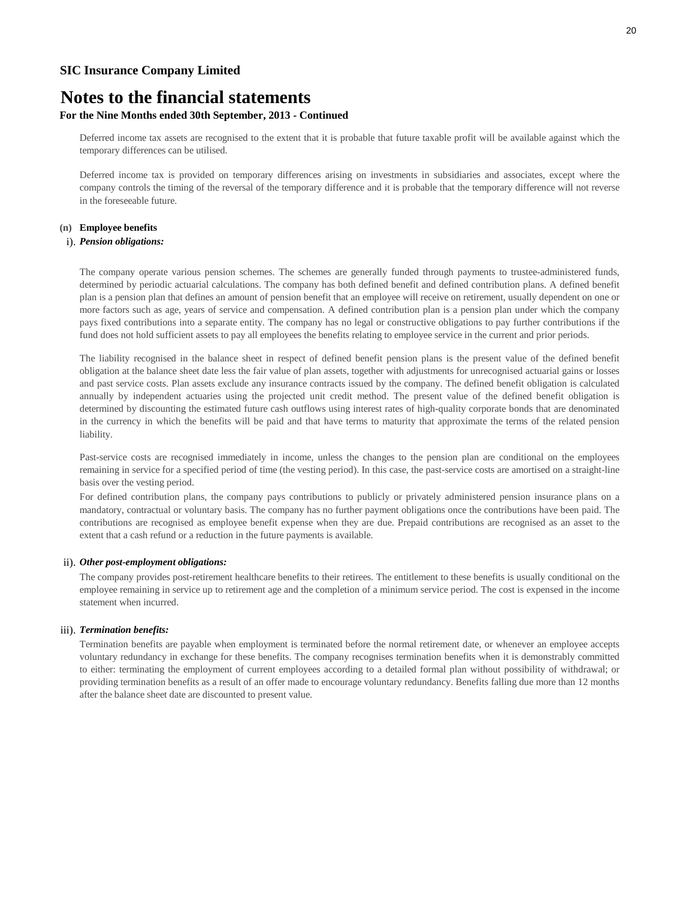## **Notes to the financial statements**

### **For the Nine Months ended 30th September, 2013 - Continued**

Deferred income tax assets are recognised to the extent that it is probable that future taxable profit will be available against which the temporary differences can be utilised.

Deferred income tax is provided on temporary differences arising on investments in subsidiaries and associates, except where the company controls the timing of the reversal of the temporary difference and it is probable that the temporary difference will not reverse in the foreseeable future.

#### **(n) Employee benefits**

#### i). *Pension obligations:*

The company operate various pension schemes. The schemes are generally funded through payments to trustee-administered funds, determined by periodic actuarial calculations. The company has both defined benefit and defined contribution plans. A defined benefit plan is a pension plan that defines an amount of pension benefit that an employee will receive on retirement, usually dependent on one or more factors such as age, years of service and compensation. A defined contribution plan is a pension plan under which the company pays fixed contributions into a separate entity. The company has no legal or constructive obligations to pay further contributions if the fund does not hold sufficient assets to pay all employees the benefits relating to employee service in the current and prior periods.

The liability recognised in the balance sheet in respect of defined benefit pension plans is the present value of the defined benefit obligation at the balance sheet date less the fair value of plan assets, together with adjustments for unrecognised actuarial gains or losses and past service costs. Plan assets exclude any insurance contracts issued by the company. The defined benefit obligation is calculated annually by independent actuaries using the projected unit credit method. The present value of the defined benefit obligation is determined by discounting the estimated future cash outflows using interest rates of high-quality corporate bonds that are denominated in the currency in which the benefits will be paid and that have terms to maturity that approximate the terms of the related pension liability.

Past-service costs are recognised immediately in income, unless the changes to the pension plan are conditional on the employees remaining in service for a specified period of time (the vesting period). In this case, the past-service costs are amortised on a straight-line basis over the vesting period.

For defined contribution plans, the company pays contributions to publicly or privately administered pension insurance plans on a mandatory, contractual or voluntary basis. The company has no further payment obligations once the contributions have been paid. The contributions are recognised as employee benefit expense when they are due. Prepaid contributions are recognised as an asset to the extent that a cash refund or a reduction in the future payments is available.

#### ii). *Other post-employment obligations:*

The company provides post-retirement healthcare benefits to their retirees. The entitlement to these benefits is usually conditional on the employee remaining in service up to retirement age and the completion of a minimum service period. The cost is expensed in the income statement when incurred.

#### iii). *Termination benefits:*

Termination benefits are payable when employment is terminated before the normal retirement date, or whenever an employee accepts voluntary redundancy in exchange for these benefits. The company recognises termination benefits when it is demonstrably committed to either: terminating the employment of current employees according to a detailed formal plan without possibility of withdrawal; or providing termination benefits as a result of an offer made to encourage voluntary redundancy. Benefits falling due more than 12 months after the balance sheet date are discounted to present value.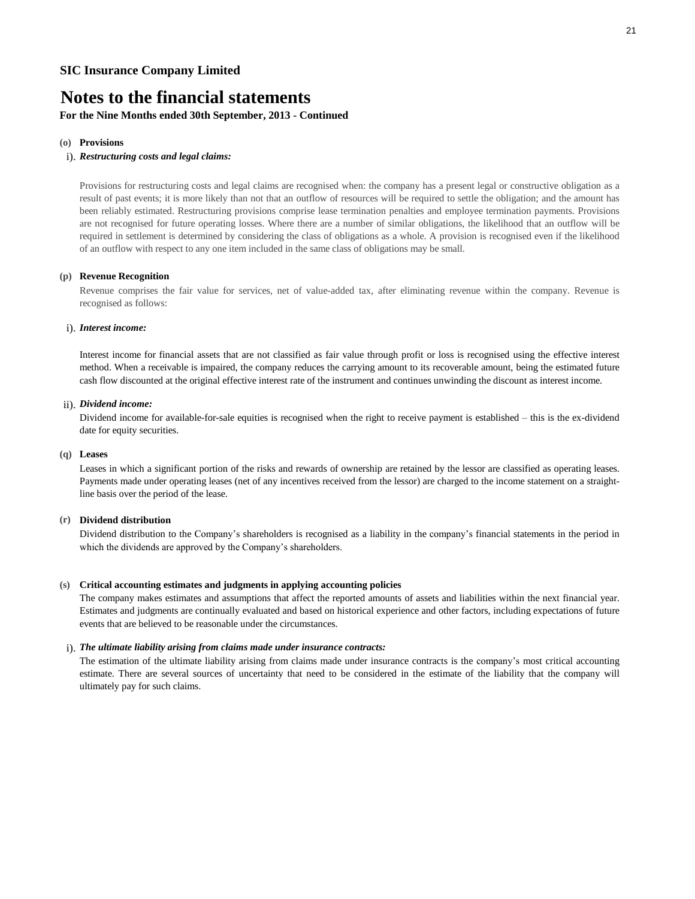### **For the Nine Months ended 30th September, 2013 - Continued**

#### **(o) Provisions**

#### i). *Restructuring costs and legal claims:*

Provisions for restructuring costs and legal claims are recognised when: the company has a present legal or constructive obligation as a result of past events; it is more likely than not that an outflow of resources will be required to settle the obligation; and the amount has been reliably estimated. Restructuring provisions comprise lease termination penalties and employee termination payments. Provisions are not recognised for future operating losses. Where there are a number of similar obligations, the likelihood that an outflow will be required in settlement is determined by considering the class of obligations as a whole. A provision is recognised even if the likelihood of an outflow with respect to any one item included in the same class of obligations may be small.

#### **(p) Revenue Recognition**

Revenue comprises the fair value for services, net of value-added tax, after eliminating revenue within the company. Revenue is recognised as follows:

#### i). *Interest income:*

Interest income for financial assets that are not classified as fair value through profit or loss is recognised using the effective interest method. When a receivable is impaired, the company reduces the carrying amount to its recoverable amount, being the estimated future cash flow discounted at the original effective interest rate of the instrument and continues unwinding the discount as interest income.

#### ii). *Dividend income:*

Dividend income for available-for-sale equities is recognised when the right to receive payment is established – this is the ex-dividend date for equity securities.

#### **(q) Leases**

Leases in which a significant portion of the risks and rewards of ownership are retained by the lessor are classified as operating leases. Payments made under operating leases (net of any incentives received from the lessor) are charged to the income statement on a straightline basis over the period of the lease.

#### **(r) Dividend distribution**

Dividend distribution to the Company's shareholders is recognised as a liability in the company's financial statements in the period in which the dividends are approved by the Company's shareholders.

#### **(s) Critical accounting estimates and judgments in applying accounting policies**

The company makes estimates and assumptions that affect the reported amounts of assets and liabilities within the next financial year. Estimates and judgments are continually evaluated and based on historical experience and other factors, including expectations of future events that are believed to be reasonable under the circumstances.

#### i). *The ultimate liability arising from claims made under insurance contracts:*

The estimation of the ultimate liability arising from claims made under insurance contracts is the company's most critical accounting estimate. There are several sources of uncertainty that need to be considered in the estimate of the liability that the company will ultimately pay for such claims.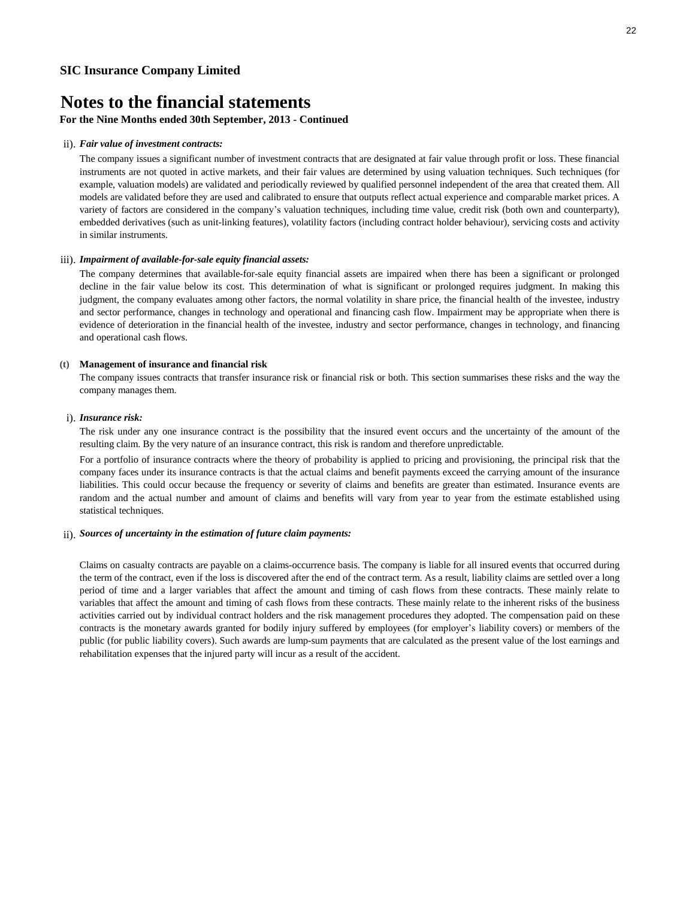### **For the Nine Months ended 30th September, 2013 - Continued**

#### ii). *Fair value of investment contracts:*

The company issues a significant number of investment contracts that are designated at fair value through profit or loss. These financial instruments are not quoted in active markets, and their fair values are determined by using valuation techniques. Such techniques (for example, valuation models) are validated and periodically reviewed by qualified personnel independent of the area that created them. All models are validated before they are used and calibrated to ensure that outputs reflect actual experience and comparable market prices. A variety of factors are considered in the company's valuation techniques, including time value, credit risk (both own and counterparty), embedded derivatives (such as unit-linking features), volatility factors (including contract holder behaviour), servicing costs and activity in similar instruments.

#### iii). *Impairment of available-for-sale equity financial assets:*

The company determines that available-for-sale equity financial assets are impaired when there has been a significant or prolonged decline in the fair value below its cost. This determination of what is significant or prolonged requires judgment. In making this judgment, the company evaluates among other factors, the normal volatility in share price, the financial health of the investee, industry and sector performance, changes in technology and operational and financing cash flow. Impairment may be appropriate when there is evidence of deterioration in the financial health of the investee, industry and sector performance, changes in technology, and financing and operational cash flows.

#### **(t) Management of insurance and financial risk**

The company issues contracts that transfer insurance risk or financial risk or both. This section summarises these risks and the way the company manages them.

#### i). *Insurance risk:*

The risk under any one insurance contract is the possibility that the insured event occurs and the uncertainty of the amount of the resulting claim. By the very nature of an insurance contract, this risk is random and therefore unpredictable.

For a portfolio of insurance contracts where the theory of probability is applied to pricing and provisioning, the principal risk that the company faces under its insurance contracts is that the actual claims and benefit payments exceed the carrying amount of the insurance liabilities. This could occur because the frequency or severity of claims and benefits are greater than estimated. Insurance events are random and the actual number and amount of claims and benefits will vary from year to year from the estimate established using statistical techniques.

#### ii). *Sources of uncertainty in the estimation of future claim payments:*

Claims on casualty contracts are payable on a claims-occurrence basis. The company is liable for all insured events that occurred during the term of the contract, even if the loss is discovered after the end of the contract term. As a result, liability claims are settled over a long period of time and a larger variables that affect the amount and timing of cash flows from these contracts. These mainly relate to variables that affect the amount and timing of cash flows from these contracts. These mainly relate to the inherent risks of the business activities carried out by individual contract holders and the risk management procedures they adopted. The compensation paid on these contracts is the monetary awards granted for bodily injury suffered by employees (for employer's liability covers) or members of the public (for public liability covers). Such awards are lump-sum payments that are calculated as the present value of the lost earnings and rehabilitation expenses that the injured party will incur as a result of the accident.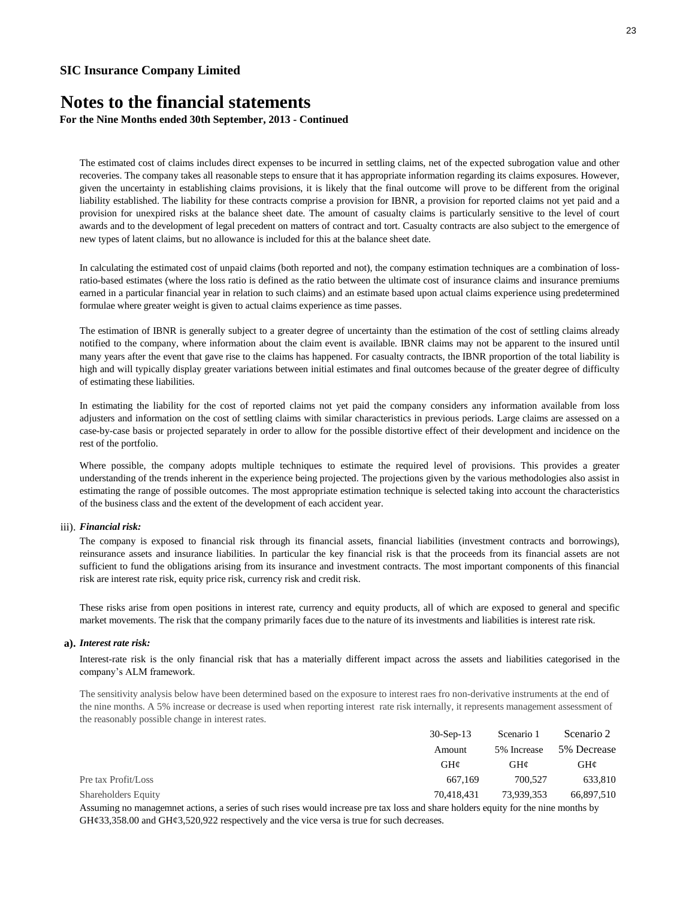**For the Nine Months ended 30th September, 2013 - Continued**

The estimated cost of claims includes direct expenses to be incurred in settling claims, net of the expected subrogation value and other recoveries. The company takes all reasonable steps to ensure that it has appropriate information regarding its claims exposures. However, given the uncertainty in establishing claims provisions, it is likely that the final outcome will prove to be different from the original liability established. The liability for these contracts comprise a provision for IBNR, a provision for reported claims not yet paid and a provision for unexpired risks at the balance sheet date. The amount of casualty claims is particularly sensitive to the level of court awards and to the development of legal precedent on matters of contract and tort. Casualty contracts are also subject to the emergence of new types of latent claims, but no allowance is included for this at the balance sheet date.

In calculating the estimated cost of unpaid claims (both reported and not), the company estimation techniques are a combination of lossratio-based estimates (where the loss ratio is defined as the ratio between the ultimate cost of insurance claims and insurance premiums earned in a particular financial year in relation to such claims) and an estimate based upon actual claims experience using predetermined formulae where greater weight is given to actual claims experience as time passes.

The estimation of IBNR is generally subject to a greater degree of uncertainty than the estimation of the cost of settling claims already notified to the company, where information about the claim event is available. IBNR claims may not be apparent to the insured until many years after the event that gave rise to the claims has happened. For casualty contracts, the IBNR proportion of the total liability is high and will typically display greater variations between initial estimates and final outcomes because of the greater degree of difficulty of estimating these liabilities.

In estimating the liability for the cost of reported claims not yet paid the company considers any information available from loss adjusters and information on the cost of settling claims with similar characteristics in previous periods. Large claims are assessed on a case-by-case basis or projected separately in order to allow for the possible distortive effect of their development and incidence on the rest of the portfolio.

Where possible, the company adopts multiple techniques to estimate the required level of provisions. This provides a greater understanding of the trends inherent in the experience being projected. The projections given by the various methodologies also assist in estimating the range of possible outcomes. The most appropriate estimation technique is selected taking into account the characteristics of the business class and the extent of the development of each accident year.

#### iii). *Financial risk:*

The company is exposed to financial risk through its financial assets, financial liabilities (investment contracts and borrowings), reinsurance assets and insurance liabilities. In particular the key financial risk is that the proceeds from its financial assets are not sufficient to fund the obligations arising from its insurance and investment contracts. The most important components of this financial risk are interest rate risk, equity price risk, currency risk and credit risk.

These risks arise from open positions in interest rate, currency and equity products, all of which are exposed to general and specific market movements. The risk that the company primarily faces due to the nature of its investments and liabilities is interest rate risk.

#### **a).** *Interest rate risk:*

Interest-rate risk is the only financial risk that has a materially different impact across the assets and liabilities categorised in the company's ALM framework.

The sensitivity analysis below have been determined based on the exposure to interest raes fro non-derivative instruments at the end of the nine months. A 5% increase or decrease is used when reporting interest rate risk internally, it represents management assessment of the reasonably possible change in interest rates.

|                            | $30-Sep-13$ | Scenario 1  | Scenario 2                    |
|----------------------------|-------------|-------------|-------------------------------|
|                            | Amount      | 5% Increase | 5% Decrease                   |
|                            | GH¢         | GHC         | GHC                           |
| Pre tax Profit/Loss        | 667.169     | 700,527     | 633,810                       |
| <b>Shareholders Equity</b> | 70.418.431  | 73.939.353  | 66,897,510                    |
| $\sim$ $\sim$ $\sim$<br>.  | .           |             | $\mathbf{A}$ and $\mathbf{A}$ |

Assuming no managemnet actions, a series of such rises would increase pre tax loss and share holders equity for the nine months by GH¢33,358.00 and GH¢3,520,922 respectively and the vice versa is true for such decreases.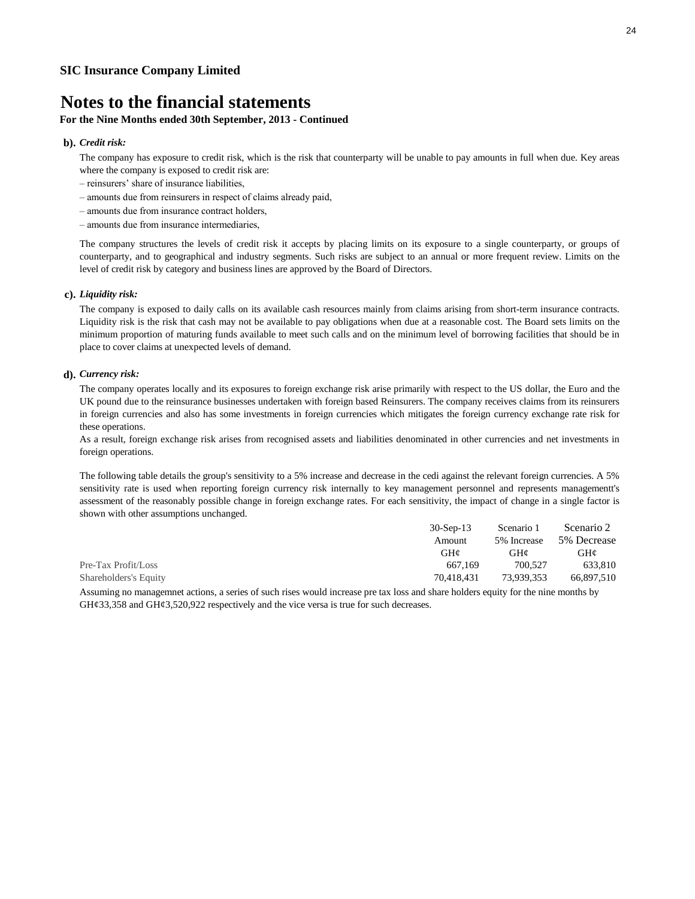### **For the Nine Months ended 30th September, 2013 - Continued**

#### **b).** *Credit risk:*

The company has exposure to credit risk, which is the risk that counterparty will be unable to pay amounts in full when due. Key areas where the company is exposed to credit risk are:

- reinsurers' share of insurance liabilities,
- amounts due from reinsurers in respect of claims already paid,
- amounts due from insurance contract holders,

– amounts due from insurance intermediaries,

The company structures the levels of credit risk it accepts by placing limits on its exposure to a single counterparty, or groups of counterparty, and to geographical and industry segments. Such risks are subject to an annual or more frequent review. Limits on the level of credit risk by category and business lines are approved by the Board of Directors.

#### **c).** *Liquidity risk:*

The company is exposed to daily calls on its available cash resources mainly from claims arising from short-term insurance contracts. Liquidity risk is the risk that cash may not be available to pay obligations when due at a reasonable cost. The Board sets limits on the minimum proportion of maturing funds available to meet such calls and on the minimum level of borrowing facilities that should be in place to cover claims at unexpected levels of demand.

#### **d).** *Currency risk:*

The company operates locally and its exposures to foreign exchange risk arise primarily with respect to the US dollar, the Euro and the UK pound due to the reinsurance businesses undertaken with foreign based Reinsurers. The company receives claims from its reinsurers in foreign currencies and also has some investments in foreign currencies which mitigates the foreign currency exchange rate risk for these operations.

As a result, foreign exchange risk arises from recognised assets and liabilities denominated in other currencies and net investments in foreign operations.

The following table details the group's sensitivity to a 5% increase and decrease in the cedi against the relevant foreign currencies. A 5% sensitivity rate is used when reporting foreign currency risk internally to key management personnel and represents managementt's assessment of the reasonably possible change in foreign exchange rates. For each sensitivity, the impact of change in a single factor is shown with other assumptions unchanged.

|                       | $30-Sep-13$ | Scenario 1  | Scenario 2  |
|-----------------------|-------------|-------------|-------------|
|                       | Amount      | 5% Increase | 5% Decrease |
|                       | GHC         | GH¢         | GH¢         |
| Pre-Tax Profit/Loss   | 667.169     | 700.527     | 633.810     |
| Shareholders's Equity | 70.418.431  | 73.939.353  | 66.897.510  |

Assuming no managemnet actions, a series of such rises would increase pre tax loss and share holders equity for the nine months by  $GH\varphi$ 33,358 and  $GH\varphi$ 3,520,922 respectively and the vice versa is true for such decreases.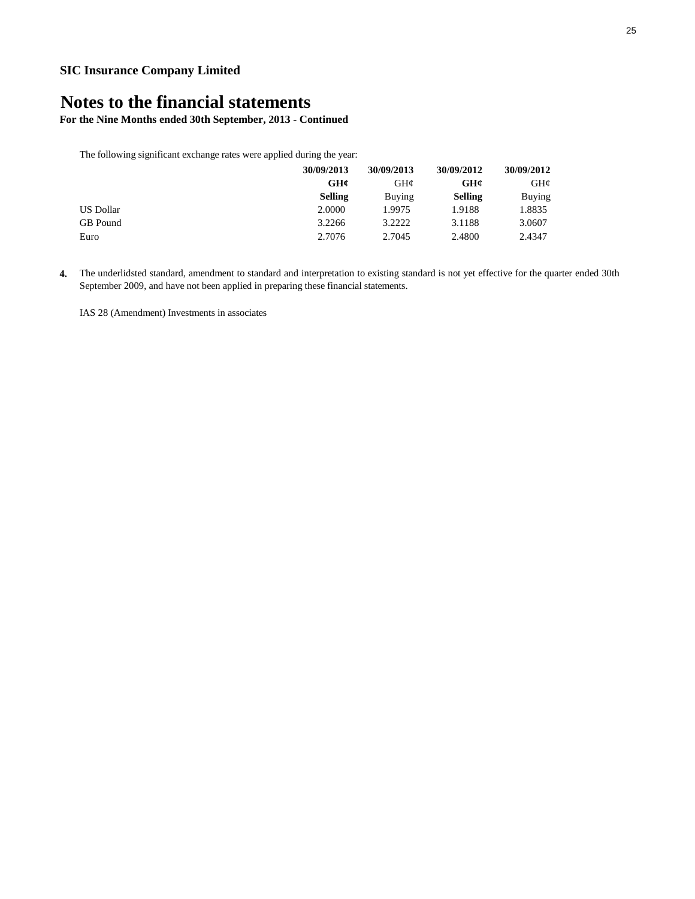**For the Nine Months ended 30th September, 2013 - Continued**

The following significant exchange rates were applied during the year:

| 30/09/2013       |                | 30/09/2013    | 30/09/2012     | 30/09/2012      |
|------------------|----------------|---------------|----------------|-----------------|
|                  | GH¢            | GH¢           | GH¢            | $GH\mathcal{C}$ |
|                  | <b>Selling</b> | <b>Buying</b> | <b>Selling</b> | Buying          |
| <b>US Dollar</b> | 2.0000         | 1.9975        | 1.9188         | 1.8835          |
| GB Pound         | 3.2266         | 3.2222        | 3.1188         | 3.0607          |
| Euro             | 2.7076         | 2.7045        | 2.4800         | 2.4347          |

**4.** The underlidsted standard, amendment to standard and interpretation to existing standard is not yet effective for the quarter ended 30th September 2009, and have not been applied in preparing these financial statements.

IAS 28 (Amendment) Investments in associates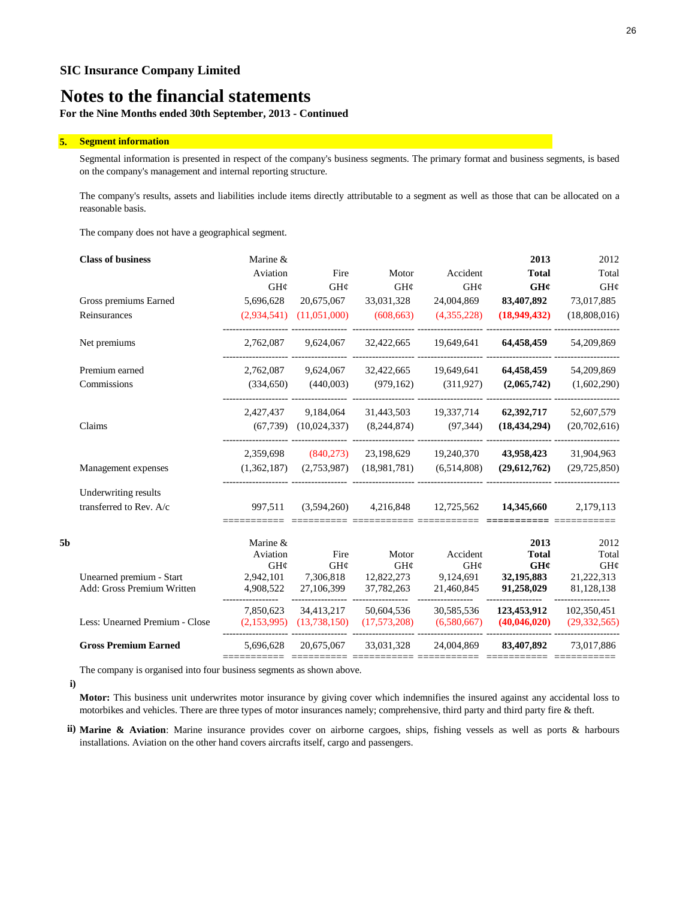**For the Nine Months ended 30th September, 2013 - Continued**

#### **5. Segment information**

Segmental information is presented in respect of the company's business segments. The primary format and business segments, is based on the company's management and internal reporting structure.

The company's results, assets and liabilities include items directly attributable to a segment as well as those that can be allocated on a reasonable basis.

The company does not have a geographical segment.

|    | <b>Class of business</b>       | Marine &        |                           |                 |                 | 2013           | 2012           |
|----|--------------------------------|-----------------|---------------------------|-----------------|-----------------|----------------|----------------|
|    |                                | Aviation        | Fire                      | Motor           | Accident        | <b>Total</b>   | Total          |
|    |                                | $GH\mathcal{C}$ | $GH\mathcal{C}$           | $GH\mathcal{C}$ | $GH\mathcal{C}$ | GHC            | GH¢            |
|    | Gross premiums Earned          | 5,696,628       | 20,675,067                | 33,031,328      | 24,004,869      | 83,407,892     | 73,017,885     |
|    | Reinsurances                   | (2,934,541)     | (11,051,000)              | (608, 663)      | (4,355,228)     | (18,949,432)   | (18,808,016)   |
|    | Net premiums                   | 2,762,087       | 9,624,067                 | 32,422,665      | 19,649,641      | 64,458,459     | 54,209,869     |
|    | Premium earned                 | 2,762,087       | 9,624,067                 | 32,422,665      | 19,649,641      | 64,458,459     | 54,209,869     |
|    | Commissions                    | (334,650)       | (440,003)                 | (979, 162)      | (311, 927)      | (2,065,742)    | (1,602,290)    |
|    |                                | 2,427,437       | 9,184,064                 | 31,443,503      | 19,337,714      | 62,392,717     | 52,607,579     |
|    | Claims                         |                 | $(67,739)$ $(10,024,337)$ | (8,244,874)     | (97, 344)       | (18, 434, 294) | (20,702,616)   |
|    |                                | 2,359,698       | (840,273)                 | 23,198,629      | 19,240,370      | 43,958,423     | 31,904,963     |
|    | Management expenses            | (1,362,187)     | (2,753,987)               | (18,981,781)    | (6,514,808)     | (29,612,762)   | (29, 725, 850) |
|    | Underwriting results           |                 |                           |                 |                 |                |                |
|    | transferred to Rev. A/c        | 997,511         | (3,594,260)               | 4,216,848       | 12,725,562      | 14,345,660     | 2,179,113      |
| 5b |                                | Marine &        |                           |                 |                 | 2013           | 2012           |
|    |                                | Aviation        | Fire                      | Motor           | Accident        | <b>Total</b>   | Total          |
|    |                                | $GH\mathcal{C}$ | GH¢                       | $GH\mathcal{C}$ | $GH\mathcal{C}$ | GHC            | GH¢            |
|    | Unearned premium - Start       | 2,942,101       | 7,306,818                 | 12,822,273      | 9,124,691       | 32,195,883     | 21,222,313     |
|    | Add: Gross Premium Written     | 4,908,522       | 27,106,399                | 37,782,263      | 21,460,845      | 91,258,029     | 81,128,138     |
|    |                                | 7,850,623       | 34,413,217                | 50,604,536      | 30,585,536      | 123,453,912    | 102,350,451    |
|    | Less: Unearned Premium - Close | (2,153,995)     | (13,738,150)              | (17,573,208)    | (6,580,667)     | (40,046,020)   | (29, 332, 565) |
|    | <b>Gross Premium Earned</b>    | 5,696,628       | 20,675,067                | 33,031,328      | 24,004,869      | 83,407,892     | 73,017,886     |
|    |                                |                 |                           |                 |                 |                |                |

The company is organised into four business segments as shown above.

**i)**

**Motor:** This business unit underwrites motor insurance by giving cover which indemnifies the insured against any accidental loss to motorbikes and vehicles. There are three types of motor insurances namely; comprehensive, third party and third party fire & theft.

**ii) Marine & Aviation**: Marine insurance provides cover on airborne cargoes, ships, fishing vessels as well as ports & harbours installations. Aviation on the other hand covers aircrafts itself, cargo and passengers.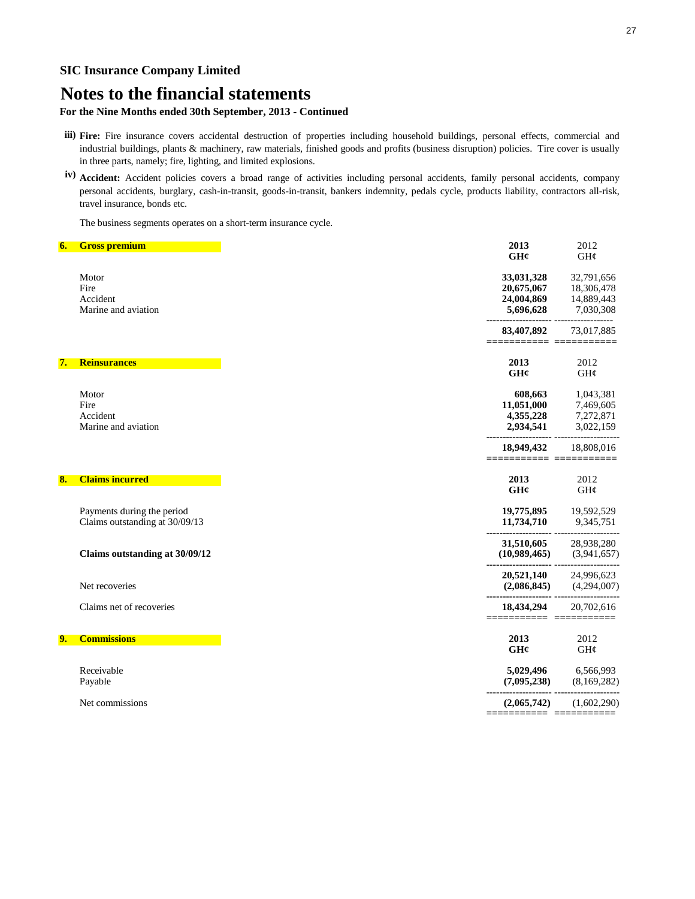## **Notes to the financial statements**

### **For the Nine Months ended 30th September, 2013 - Continued**

- **iii) Fire:** Fire insurance covers accidental destruction of properties including household buildings, personal effects, commercial and industrial buildings, plants & machinery, raw materials, finished goods and profits (business disruption) policies. Tire cover is usually in three parts, namely; fire, lighting, and limited explosions.
- **iv) Accident:** Accident policies covers a broad range of activities including personal accidents, family personal accidents, company personal accidents, burglary, cash-in-transit, goods-in-transit, bankers indemnity, pedals cycle, products liability, contractors all-risk, travel insurance, bonds etc.

The business segments operates on a short-term insurance cycle.

| 6. | <b>Gross premium</b>           |
|----|--------------------------------|
|    |                                |
|    |                                |
|    | Motor                          |
|    | Fire                           |
|    | Accident                       |
|    | Marine and aviation            |
|    |                                |
|    | <b>Reinsurances</b>            |
|    |                                |
|    |                                |
|    | Motor                          |
|    | Fire                           |
|    | Accident                       |
|    | Marine and aviation            |
|    |                                |
|    | <b>Claims incurred</b>         |
|    |                                |
|    | Payments during the period     |
|    | Claims outstanding at 30/09/13 |
|    |                                |
|    |                                |
|    | Claims outstanding at 30/09/12 |
|    |                                |
|    | Net recoveries                 |
|    | Claims net of recoveries       |
|    |                                |
|    | <b>Commissions</b>             |
|    |                                |
|    | Receivable                     |
|    |                                |
|    | Payable                        |
|    | Net commissions                |
|    |                                |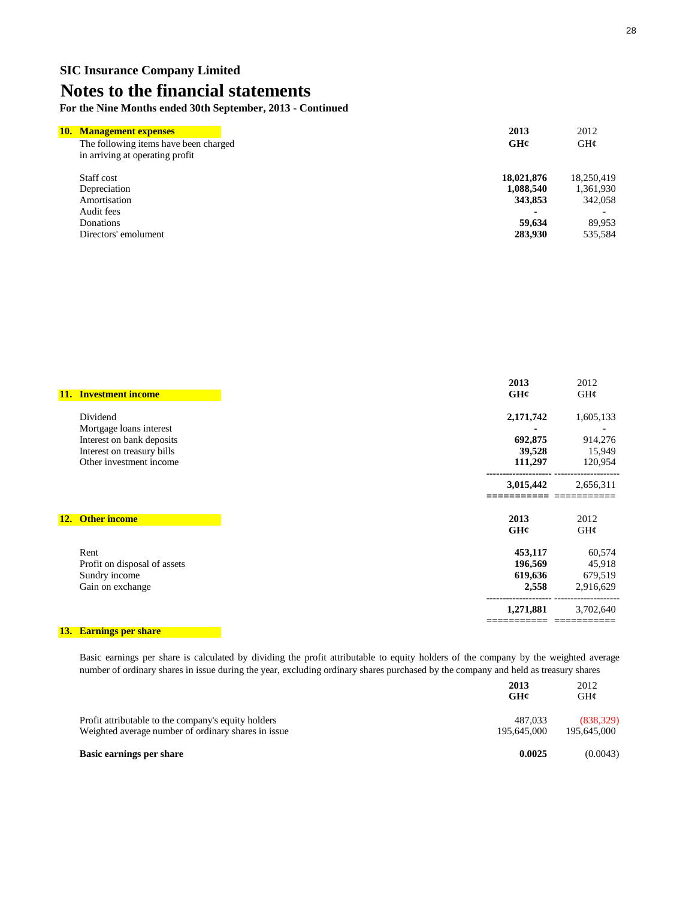**For the Nine Months ended 30th September, 2013 - Continued**

| 10. Management expenses                                                  | 2013       | 2012                     |
|--------------------------------------------------------------------------|------------|--------------------------|
| The following items have been charged<br>in arriving at operating profit | GH¢        | $GH\mathcal{C}$          |
| Staff cost                                                               | 18,021,876 | 18.250.419               |
| Depreciation                                                             | 1,088,540  | 1,361,930                |
| Amortisation                                                             | 343,853    | 342,058                  |
| Audit fees                                                               |            | $\overline{\phantom{0}}$ |
| Donations                                                                | 59,634     | 89.953                   |
| Directors' emolument                                                     | 283,930    | 535,584                  |

| <b>11.</b> | <b>Investment income</b>                                                                                      | 2013<br>GHC                            | 2012<br>GH¢                              |
|------------|---------------------------------------------------------------------------------------------------------------|----------------------------------------|------------------------------------------|
|            | Dividend                                                                                                      | 2,171,742                              | 1,605,133                                |
|            | Mortgage loans interest<br>Interest on bank deposits<br>Interest on treasury bills<br>Other investment income | 692,875<br>39,528<br>111,297           | 914,276<br>15,949<br>120,954             |
|            |                                                                                                               | 3,015,442                              | 2,656,311                                |
|            | 12. Other income                                                                                              | 2013<br>GHC                            | 2012<br>GH¢                              |
|            | Rent<br>Profit on disposal of assets<br>Sundry income<br>Gain on exchange                                     | 453,117<br>196,569<br>619,636<br>2,558 | 60,574<br>45,918<br>679,519<br>2,916,629 |
|            |                                                                                                               | 1,271,881                              | 3,702,640                                |

### **13. Earnings per share**

Basic earnings per share is calculated by dividing the profit attributable to equity holders of the company by the weighted average number of ordinary shares in issue during the year, excluding ordinary shares purchased by the company and held as treasury shares

|                                                     | 2013<br>GH¢ | 2012<br>GHC |
|-----------------------------------------------------|-------------|-------------|
| Profit attributable to the company's equity holders | 487.033     | (838, 329)  |
| Weighted average number of ordinary shares in issue | 195.645.000 | 195,645,000 |
| Basic earnings per share                            | 0.0025      | (0.0043)    |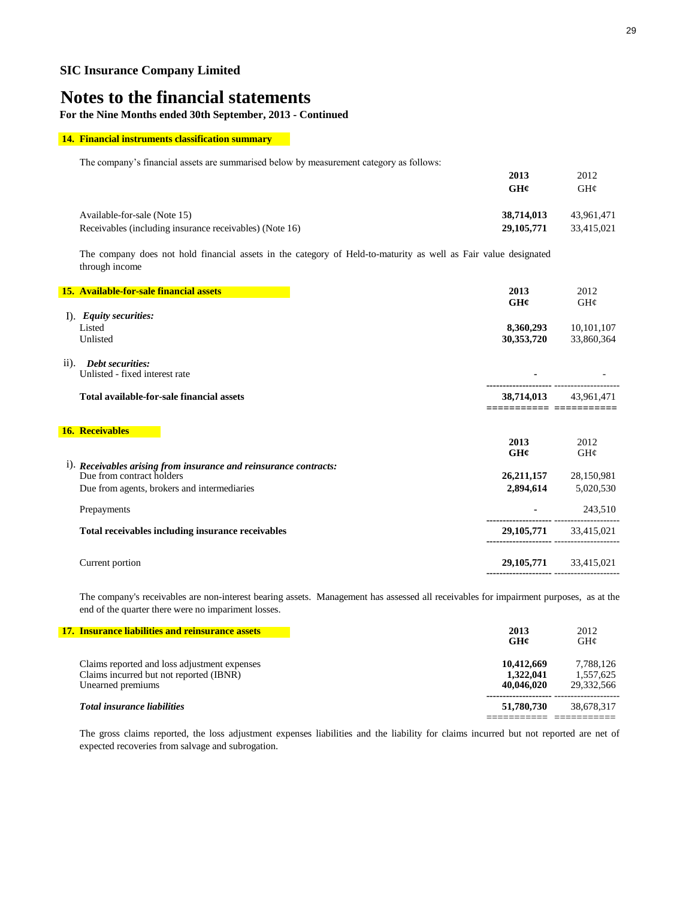**For the Nine Months ended 30th September, 2013 - Continued**

### **14. Financial instruments classification summary**

The company's financial assets are summarised below by measurement category as follows:

|                                                         | 2013<br>GH¢  | 2012<br>GHC |
|---------------------------------------------------------|--------------|-------------|
| Available-for-sale (Note 15)                            | 38,714,013   | 43.961.471  |
| Receivables (including insurance receivables) (Note 16) | 29, 105, 771 | 33,415,021  |
|                                                         |              |             |

The company does not hold financial assets in the category of Held-to-maturity as well as Fair value designated through income

|                    | 15. Available-for-sale financial assets                           | 2013                            | 2012                      |
|--------------------|-------------------------------------------------------------------|---------------------------------|---------------------------|
|                    |                                                                   | GH¢                             | GH¢                       |
|                    | I). Equity securities:<br>Listed                                  | 8,360,293                       | 10,101,107                |
|                    | Unlisted                                                          | 30,353,720                      | 33,860,364                |
|                    |                                                                   |                                 |                           |
| $\overline{11}$ ). | <b>Debt securities:</b>                                           |                                 |                           |
|                    | Unlisted - fixed interest rate                                    |                                 |                           |
|                    | Total available-for-sale financial assets                         | 38,714,013                      | 43,961,471                |
|                    |                                                                   |                                 |                           |
|                    |                                                                   |                                 |                           |
|                    | <b>16. Receivables</b>                                            |                                 |                           |
|                    |                                                                   | 2013<br>GH¢                     | 2012<br>GHC               |
|                    | i). Receivables arising from insurance and reinsurance contracts: |                                 |                           |
|                    | Due from contract holders                                         | 26, 211, 157                    | 28,150,981                |
|                    | Due from agents, brokers and intermediaries                       | 2,894,614                       | 5,020,530                 |
|                    |                                                                   |                                 |                           |
|                    | Prepayments                                                       | ---------------- --------       | 243,510                   |
|                    | Total receivables including insurance receivables                 | 29, 105, 771                    | 33,415,021                |
|                    |                                                                   |                                 |                           |
|                    | Current portion                                                   |                                 | 29, 105, 771 33, 415, 021 |
|                    |                                                                   | -------------------- ---------- |                           |

The company's receivables are non-interest bearing assets. Management has assessed all receivables for impairment purposes, as at the end of the quarter there were no impariment losses.

| 17. Insurance liabilities and reinsurance assets                                                             | 2013<br>GH¢                           | 2012<br>GH@                          |
|--------------------------------------------------------------------------------------------------------------|---------------------------------------|--------------------------------------|
| Claims reported and loss adjustment expenses<br>Claims incurred but not reported (IBNR)<br>Unearned premiums | 10.412.669<br>1.322,041<br>40,046,020 | 7,788,126<br>1.557.625<br>29.332.566 |
| <b>Total insurance liabilities</b>                                                                           | 51,780,730                            | 38,678,317                           |

The gross claims reported, the loss adjustment expenses liabilities and the liability for claims incurred but not reported are net of expected recoveries from salvage and subrogation.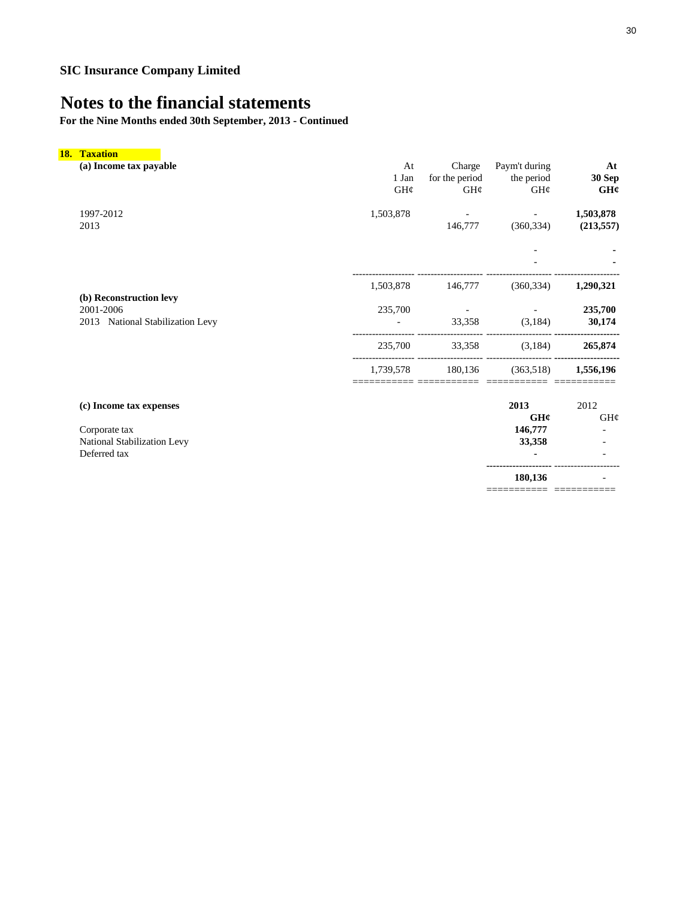**For the Nine Months ended 30th September, 2013 - Continued**

| <b>18. Taxation</b>                  |           |                |               |                     |
|--------------------------------------|-----------|----------------|---------------|---------------------|
| (a) Income tax payable               | At        | Charge         | Paym't during | At                  |
|                                      | 1 Jan     | for the period | the period    | <b>30 Sep</b>       |
|                                      | GH¢       | GH¢            | GH¢           | GHC                 |
| 1997-2012                            | 1,503,878 |                |               | 1,503,878           |
| 2013                                 |           | 146,777        | (360, 334)    | (213, 557)          |
|                                      |           |                |               |                     |
|                                      |           |                |               |                     |
|                                      | 1,503,878 | 146,777        | (360, 334)    | 1,290,321           |
| (b) Reconstruction levy<br>2001-2006 | 235,700   |                |               | 235,700             |
| 2013 National Stabilization Levy     |           | 33,358         | (3,184)       | 30,174              |
|                                      | 235,700   | 33,358         | (3,184)       | 265,874             |
|                                      | 1,739,578 | 180,136        | (363,518)     | 1,556,196           |
|                                      |           |                |               |                     |
| (c) Income tax expenses              |           |                | 2013<br>GH¢   | 2012<br>$GH\varphi$ |
| Corporate tax                        |           |                | 146,777       |                     |
| National Stabilization Levy          |           |                | 33,358        |                     |
| Deferred tax                         |           |                |               |                     |

**--------------------** --------------------  **180,136** - =========== ===========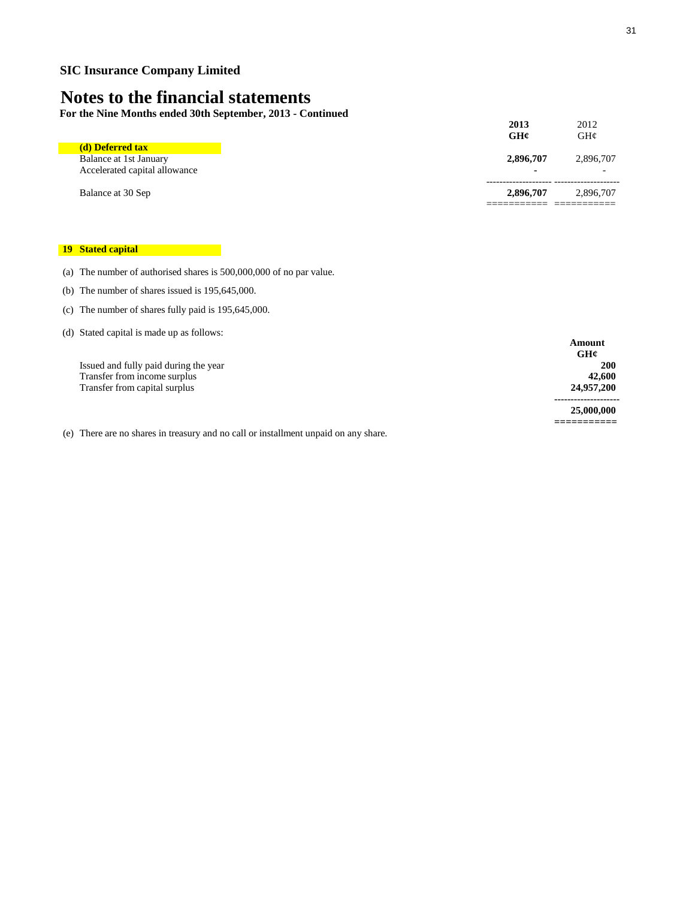**For the Nine Months ended 30th September, 2013 - Continued**

| Balance at 30 Sep                                       | 2,896,707   | 2,896,707                             |
|---------------------------------------------------------|-------------|---------------------------------------|
| Balance at 1st January<br>Accelerated capital allowance | 2,896,707   | 2,896,707<br>$\overline{\phantom{0}}$ |
| (d) Deferred tax                                        | 2013<br>GH¢ | 2012<br>GHC                           |

### **19 Stated capital**

(a) The number of authorised shares is 500,000,000 of no par value.

- (b) The number of shares issued is 195,645,000.
- (c) The number of shares fully paid is 195,645,000.
- (d) Stated capital is made up as follows:

|                                       | GH¢        |
|---------------------------------------|------------|
| Issued and fully paid during the year | 200        |
| Transfer from income surplus          | 42,600     |
| Transfer from capital surplus         | 24,957,200 |
|                                       |            |
|                                       | 25,000,000 |

(e) There are no shares in treasury and no call or installment unpaid on any share.

**Amount GH¢**

**-------------------- 25,000,000 ===========**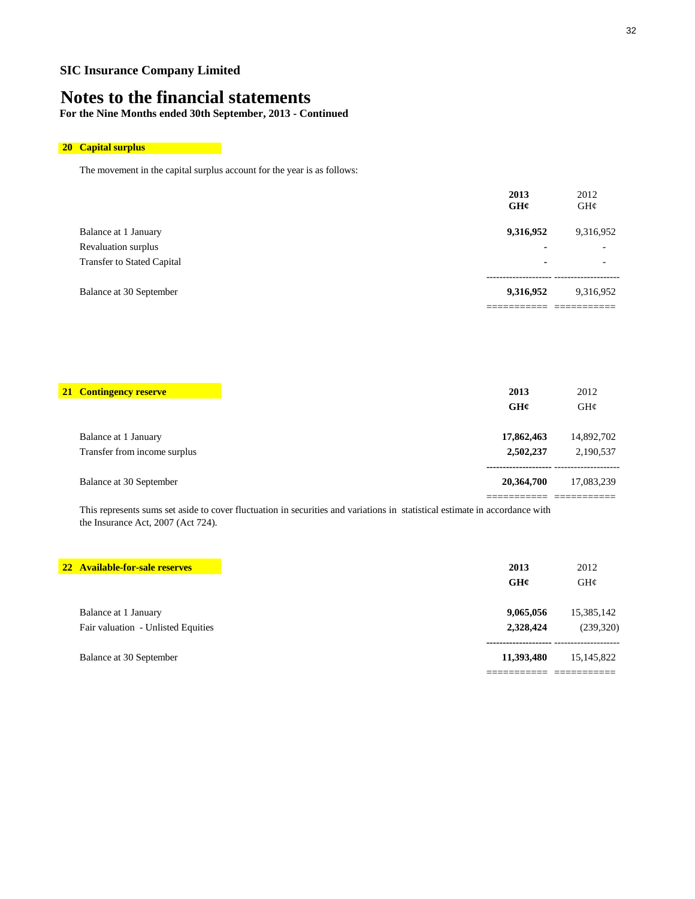## **Notes to the financial statements**

**For the Nine Months ended 30th September, 2013 - Continued**

## **20 Capital surplus**

The movement in the capital surplus account for the year is as follows:

|                                   | 2013<br>GHC | 2012<br>$GH\mathcal{C}$  |
|-----------------------------------|-------------|--------------------------|
| Balance at 1 January              | 9,316,952   | 9,316,952                |
| Revaluation surplus               |             | $\overline{\phantom{0}}$ |
| <b>Transfer to Stated Capital</b> | ٠           | $\overline{\phantom{0}}$ |
| Balance at 30 September           | 9,316,952   | 9,316,952                |
|                                   |             |                          |

| <b>21 Contingency reserve</b> | 2013<br>GH¢ | 2012<br>GH@ |
|-------------------------------|-------------|-------------|
| Balance at 1 January          | 17,862,463  | 14,892,702  |
| Transfer from income surplus  | 2,502,237   | 2,190,537   |
| Balance at 30 September       | 20,364,700  | 17,083,239  |
|                               |             |             |

This represents sums set aside to cover fluctuation in securities and variations in statistical estimate in accordance with the Insurance Act, 2007 (Act 724).

| 22 Available-for-sale reserves     |
|------------------------------------|
| Balance at 1 January               |
| Fair valuation - Unlisted Equities |
| Balance at 30 September            |
|                                    |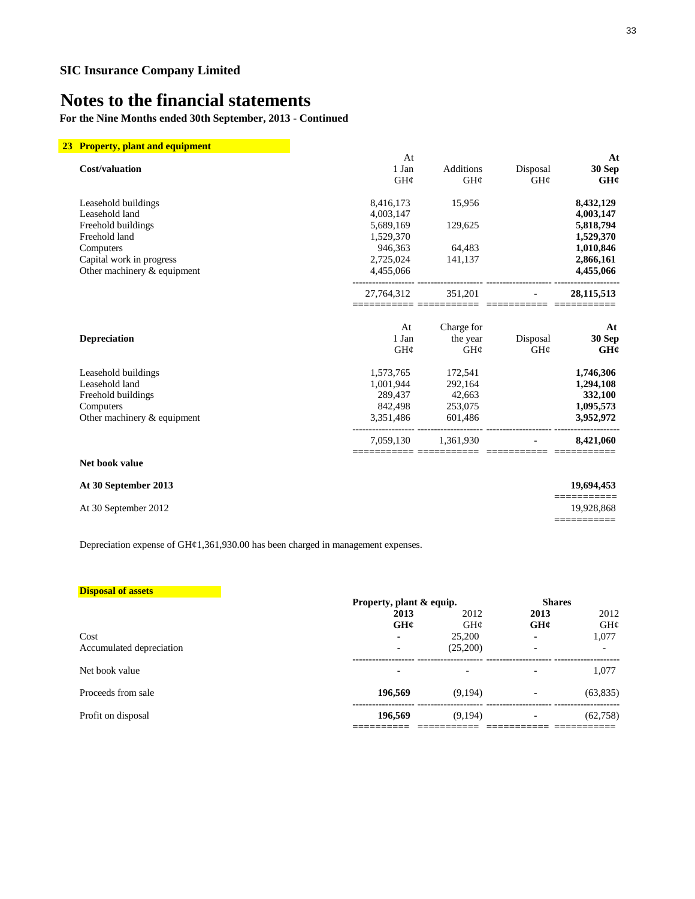**For the Nine Months ended 30th September, 2013 - Continued**

| 23 Property, plant and equipment |            |                     |                |                          |
|----------------------------------|------------|---------------------|----------------|--------------------------|
|                                  | At         |                     |                | At                       |
| Cost/valuation                   | 1 Jan      | <b>Additions</b>    | Disposal       | 30 Sep                   |
|                                  | GH¢        | GH¢                 | GH¢            | GH¢                      |
| Leasehold buildings              | 8,416,173  | 15,956              |                | 8,432,129                |
| Leasehold land                   | 4,003,147  |                     |                | 4,003,147                |
| Freehold buildings               | 5,689,169  | 129,625             |                | 5,818,794                |
| Freehold land                    | 1,529,370  |                     |                | 1,529,370                |
| Computers                        | 946,363    | 64,483              |                | 1,010,846                |
| Capital work in progress         | 2,725,024  | 141,137             |                | 2,866,161                |
| Other machinery & equipment      | 4,455,066  |                     |                | 4,455,066                |
|                                  | 27,764,312 | 351,201             | $\blacksquare$ | 28, 115, 513             |
|                                  | At         | Charge for          |                | At                       |
| <b>Depreciation</b>              | 1 Jan      | the year            | Disposal       | 30 Sep                   |
|                                  | GHC        | $GH\mathcal{C}$     | GHC            | GH¢                      |
| Leasehold buildings              | 1,573,765  | 172,541             |                | 1,746,306                |
| Leasehold land                   | 1,001,944  | 292,164             |                | 1,294,108                |
| Freehold buildings               | 289,437    | 42,663              |                | 332,100                  |
| Computers                        | 842,498    | 253,075             |                | 1,095,573                |
| Other machinery & equipment      | 3,351,486  | 601,486             |                | 3,952,972                |
|                                  |            | 7,059,130 1,361,930 |                | 8,421,060                |
| Net book value                   |            |                     |                |                          |
| At 30 September 2013             |            |                     |                | 19,694,453<br>========== |
| At 30 September 2012             |            |                     |                | 19,928,868               |
|                                  |            |                     |                |                          |

Depreciation expense of GH¢1,361,930.00 has been charged in management expenses.

| <b>Disposal of assets</b> |         |                          |      |                          |  |
|---------------------------|---------|--------------------------|------|--------------------------|--|
|                           |         | Property, plant & equip. |      | <b>Shares</b>            |  |
|                           | 2013    | 2012                     | 2013 | 2012                     |  |
|                           | GH¢     | GHC                      | GHC  | $GH\mathcal{C}$          |  |
| Cost                      |         | 25,200                   |      | 1,077                    |  |
| Accumulated depreciation  | ۰       | (25,200)                 | ۰    | $\overline{\phantom{0}}$ |  |
| Net book value            | -       |                          | ۰    | 1,077                    |  |
| Proceeds from sale        | 196,569 | (9,194)                  |      | (63, 835)                |  |
| Profit on disposal        | 196,569 | (9,194)                  | ۰    | (62,758)                 |  |
|                           |         |                          |      |                          |  |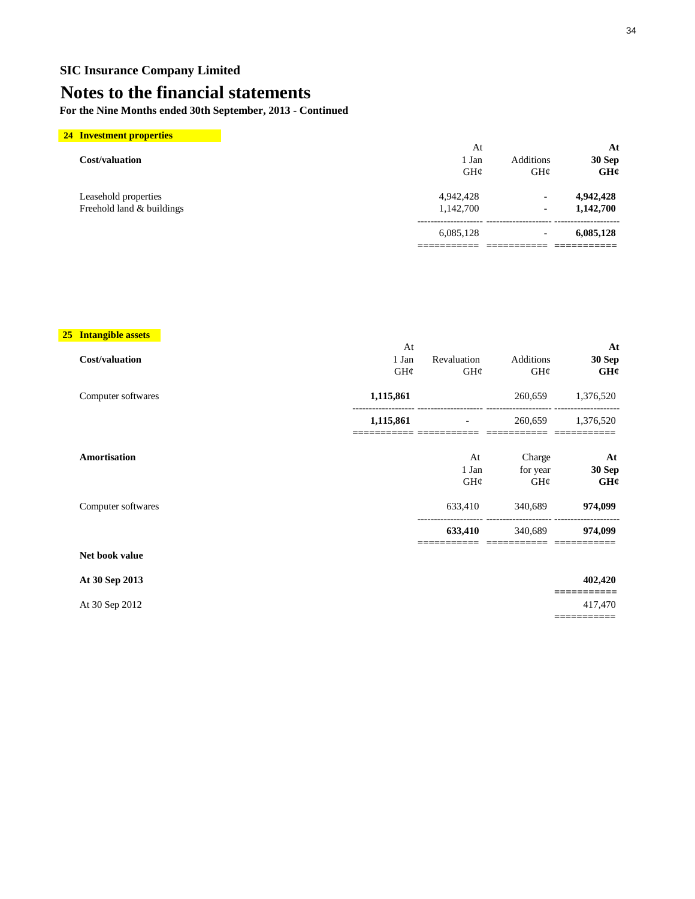## **Notes to the financial statements**

**For the Nine Months ended 30th September, 2013 - Continued**

| <b>24 Investment properties</b> |           |                          |           |
|---------------------------------|-----------|--------------------------|-----------|
|                                 | At        |                          |           |
| Cost/valuation                  | 1 Jan     | Additions                | 30 Sep    |
|                                 | GHC       | GH@                      |           |
| Leasehold properties            | 4,942,428 | $\overline{a}$           | 4,942,428 |
| Freehold land & buildings       | 1,142,700 | $\overline{\phantom{a}}$ | 1,142,700 |
|                                 | 6,085,128 | $\overline{\phantom{a}}$ | 6,085,128 |
|                                 |           |                          |           |

### **25 Intangible assets**

|                    | At        |             |           | At            |
|--------------------|-----------|-------------|-----------|---------------|
| Cost/valuation     | 1 Jan     | Revaluation | Additions | 30 Sep        |
|                    | GH¢       | GH¢         | GH¢       | GHC           |
| Computer softwares | 1,115,861 |             | 260,659   | 1,376,520     |
|                    | 1,115,861 | ٠           | 260,659   | 1,376,520     |
| Amortisation       |           | At          | Charge    | At            |
|                    |           | 1 Jan       | for year  | <b>30 Sep</b> |
|                    |           | GH¢         | GHC       | GH¢           |
| Computer softwares |           | 633,410     | 340,689   | 974,099       |
|                    |           | 633,410     | 340,689   | 974,099       |
| Net book value     |           |             |           |               |
| At 30 Sep 2013     |           |             |           | 402,420       |
| At 30 Sep 2012     |           |             |           | 417,470       |

===========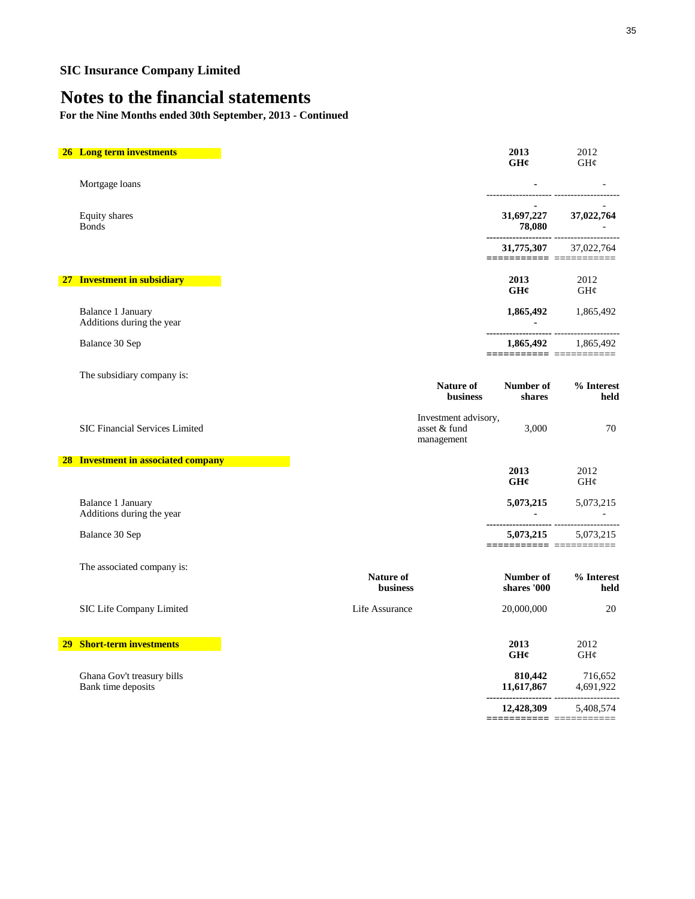**For the Nine Months ended 30th September, 2013 - Continued**

| <b>26 Long term investments</b>                                                             | 2013<br>GHz                                                                                                      | 2012<br>GH¢             |
|---------------------------------------------------------------------------------------------|------------------------------------------------------------------------------------------------------------------|-------------------------|
| Mortgage loans                                                                              |                                                                                                                  |                         |
| Equity shares<br><b>Bonds</b>                                                               | 31,697,227 37,022,764<br>78,080                                                                                  |                         |
|                                                                                             | 31,775,307 37,022,764<br>============ ============                                                               |                         |
| 27 Investment in subsidiary                                                                 | 2013<br>GH¢                                                                                                      | 2012<br>GH¢             |
| Balance 1 January<br>Additions during the year                                              | $\sim 100$                                                                                                       | 1,865,492 1,865,492     |
| Balance 30 Sep                                                                              | =======================                                                                                          | 1,865,492 1,865,492     |
| The subsidiary company is:<br><b>Nature of</b><br>business                                  | Number of<br>shares                                                                                              | % Interest<br>held      |
| Investment advisory,<br><b>SIC Financial Services Limited</b><br>asset & fund<br>management | 3,000                                                                                                            | 70                      |
| <b>28 Investment in associated company</b>                                                  |                                                                                                                  |                         |
|                                                                                             | 2013<br>GH¢                                                                                                      | 2012<br>GH¢             |
| Balance 1 January<br>Additions during the year                                              |                                                                                                                  | 5,073,215 5,073,215     |
| Balance 30 Sep                                                                              | --------------------- -------------<br>5,073,215 5,073,215                                                       |                         |
| The associated company is:<br>Nature of<br><b>business</b>                                  | Number of<br>shares '000                                                                                         | % Interest<br>held      |
| SIC Life Company Limited<br>Life Assurance                                                  | 20,000,000                                                                                                       | 20                      |
| <b>Short-term investments</b><br>29                                                         | 2013<br>GH¢                                                                                                      | 2012<br>$GH\mathcal{C}$ |
| Ghana Gov't treasury bills<br>Bank time deposits                                            | $\begin{array}{ccc} \textbf{810,442} & \textbf{716,652} \\ \textbf{11,617,867} & \textbf{4,691,922} \end{array}$ |                         |
|                                                                                             | 12,428,309<br>=========== ==========                                                                             | 5,408,574               |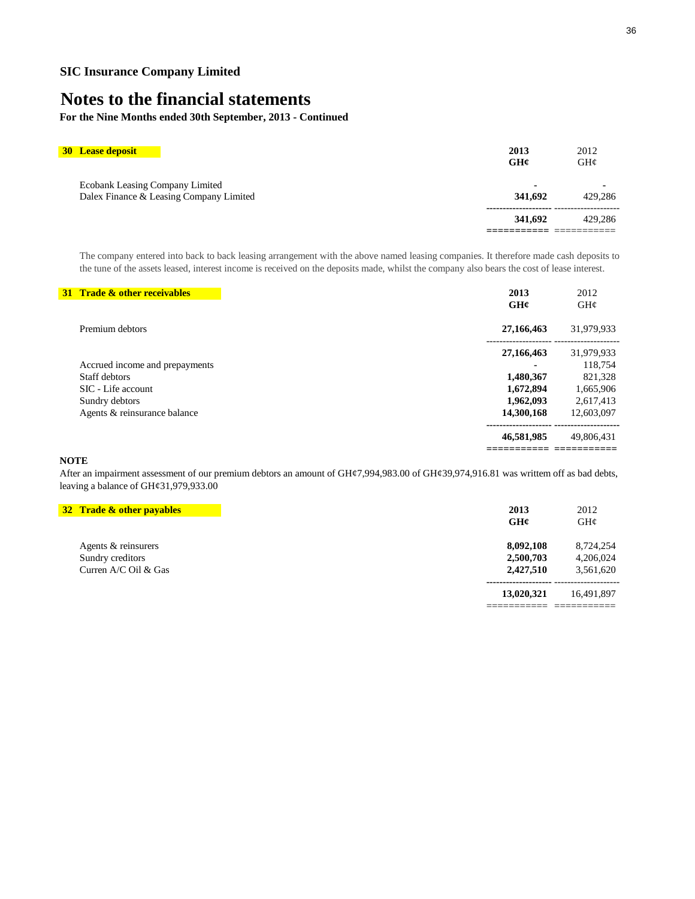**For the Nine Months ended 30th September, 2013 - Continued**

| <b>30 Lease deposit</b>                                                    | 2013<br>GH¢ | 2012<br>GH@       |
|----------------------------------------------------------------------------|-------------|-------------------|
| Ecobank Leasing Company Limited<br>Dalex Finance & Leasing Company Limited | 341,692     | $\sim$<br>429.286 |
|                                                                            | 341,692     | 429.286           |

The company entered into back to back leasing arrangement with the above named leasing companies. It therefore made cash deposits to the tune of the assets leased, interest income is received on the deposits made, whilst the company also bears the cost of lease interest.

| <b>31 Trade &amp; other receivables</b> | 2013<br>GH¢ | 2012<br>$GH\mathcal{C}$ |
|-----------------------------------------|-------------|-------------------------|
| Premium debtors                         | 27,166,463  | 31,979,933              |
|                                         | 27,166,463  | 31,979,933              |
| Accrued income and prepayments          | ٠           | 118,754                 |
| Staff debtors                           | 1,480,367   | 821,328                 |
| SIC - Life account                      | 1,672,894   | 1,665,906               |
| Sundry debtors                          | 1,962,093   | 2,617,413               |
| Agents & reinsurance balance            | 14,300,168  | 12,603,097              |
|                                         | 46,581,985  | 49,806,431              |
|                                         |             |                         |

### **NOTE**

After an impairment assessment of our premium debtors an amount of GH¢7,994,983.00 of GH¢39,974,916.81 was writtem off as bad debts, leaving a balance of GH¢31,979,933.00

| 32 Trade & other payables | 2013       | 2012       |
|---------------------------|------------|------------|
|                           | GH¢        | GH@        |
| Agents & reinsurers       | 8,092,108  | 8,724,254  |
| Sundry creditors          | 2,500,703  | 4,206,024  |
| Curren $A/C$ Oil & Gas    | 2,427,510  | 3,561,620  |
|                           | 13,020,321 | 16.491.897 |
|                           |            |            |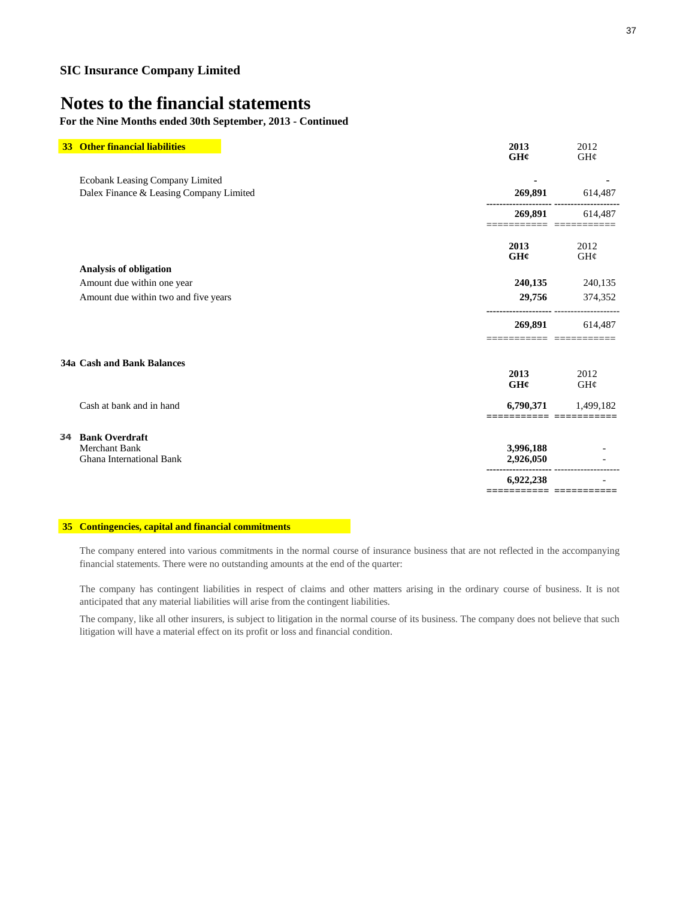### **For the Nine Months ended 30th September, 2013 - Continued**

| 33 <sup>2</sup> | <b>Other financial liabilities</b>      | 2013                     | 2012                      |
|-----------------|-----------------------------------------|--------------------------|---------------------------|
|                 |                                         | GH¢                      | GH¢                       |
|                 | Ecobank Leasing Company Limited         |                          |                           |
|                 | Dalex Finance & Leasing Company Limited | 269,891                  | 614,487                   |
|                 |                                         | 269,891                  | 614,487                   |
|                 |                                         | 2013<br>GH¢              | 2012<br>GH¢               |
|                 | <b>Analysis of obligation</b>           |                          |                           |
|                 | Amount due within one year              | 240,135                  | 240,135                   |
|                 | Amount due within two and five years    | 29,756                   | 374,352                   |
|                 |                                         | 269,891                  | 614,487<br><b>EEEEEEE</b> |
|                 | 34a Cash and Bank Balances              |                          |                           |
|                 |                                         | 2013<br>GHC              | 2012<br>GH¢               |
|                 | Cash at bank and in hand                | 6,790,371<br>==== ====== | 1,499,182                 |
| 34              | <b>Bank Overdraft</b>                   |                          |                           |
|                 | <b>Merchant Bank</b>                    | 3,996,188                |                           |
|                 | <b>Ghana International Bank</b>         | 2,926,050                |                           |
|                 |                                         | 6,922,238                |                           |
|                 |                                         |                          |                           |

### **35 Contingencies, capital and financial commitments**

The company entered into various commitments in the normal course of insurance business that are not reflected in the accompanying financial statements. There were no outstanding amounts at the end of the quarter:

The company has contingent liabilities in respect of claims and other matters arising in the ordinary course of business. It is not anticipated that any material liabilities will arise from the contingent liabilities.

The company, like all other insurers, is subject to litigation in the normal course of its business. The company does not believe that such litigation will have a material effect on its profit or loss and financial condition.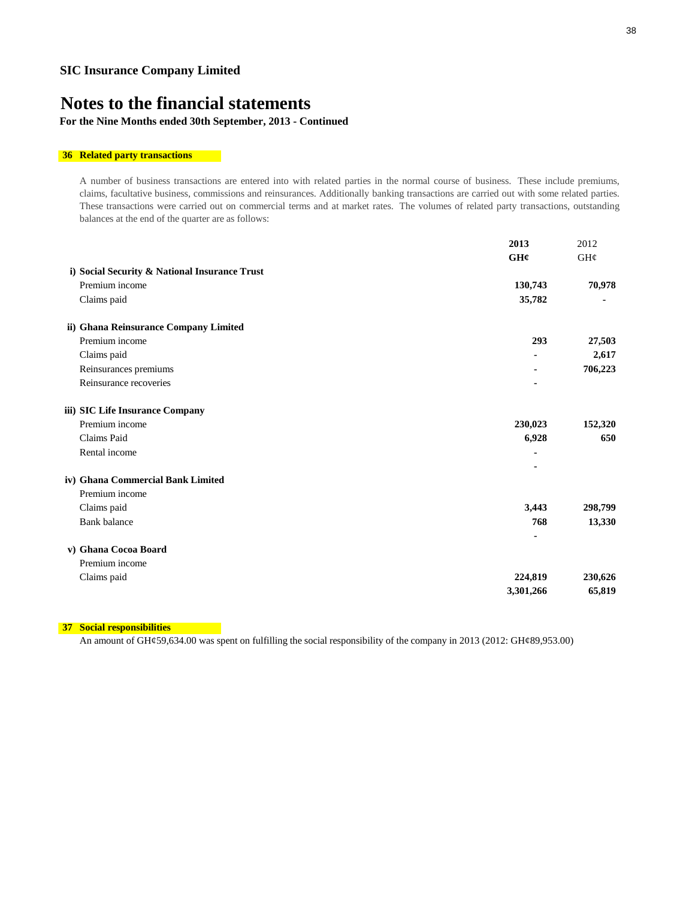### **For the Nine Months ended 30th September, 2013 - Continued**

#### **36 Related party transactions**

A number of business transactions are entered into with related parties in the normal course of business. These include premiums, claims, facultative business, commissions and reinsurances. Additionally banking transactions are carried out with some related parties. These transactions were carried out on commercial terms and at market rates. The volumes of related party transactions, outstanding balances at the end of the quarter are as follows:

|                                               | 2013           | 2012    |
|-----------------------------------------------|----------------|---------|
|                                               | GH¢            | GH¢     |
| i) Social Security & National Insurance Trust |                |         |
| Premium income                                | 130,743        | 70,978  |
| Claims paid                                   | 35,782         |         |
| ii) Ghana Reinsurance Company Limited         |                |         |
| Premium income                                | 293            | 27,503  |
| Claims paid                                   | $\blacksquare$ | 2,617   |
| Reinsurances premiums                         |                | 706,223 |
| Reinsurance recoveries                        |                |         |
| iii) SIC Life Insurance Company               |                |         |
| Premium income                                | 230,023        | 152,320 |
| <b>Claims</b> Paid                            | 6,928          | 650     |
| Rental income                                 |                |         |
|                                               |                |         |
| iv) Ghana Commercial Bank Limited             |                |         |
| Premium income                                |                |         |
| Claims paid                                   | 3,443          | 298,799 |
| <b>Bank balance</b>                           | 768            | 13,330  |
|                                               |                |         |
| v) Ghana Cocoa Board                          |                |         |
| Premium income                                |                |         |
| Claims paid                                   | 224,819        | 230,626 |
|                                               | 3,301,266      | 65,819  |

**37 Social responsibilities**

An amount of GH¢59,634.00 was spent on fulfilling the social responsibility of the company in 2013 (2012: GH¢89,953.00)